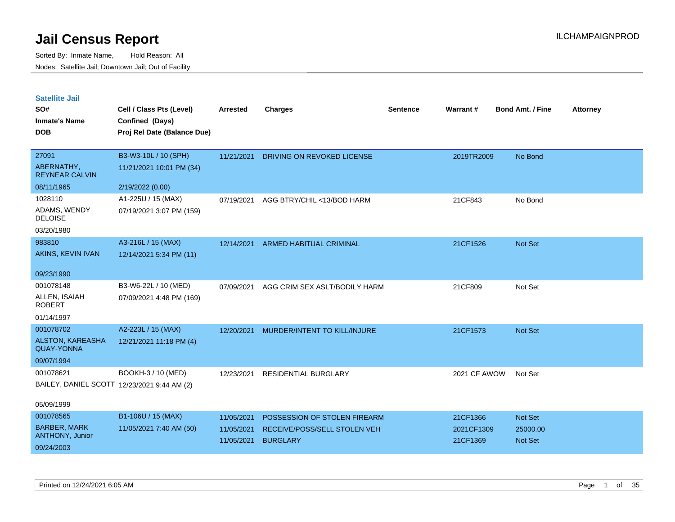| <b>Satellite Jail</b> |  |
|-----------------------|--|
|                       |  |

| SO#<br><b>Inmate's Name</b><br><b>DOB</b>    | Cell / Class Pts (Level)<br>Confined (Days)<br>Proj Rel Date (Balance Due) | Arrested   | <b>Charges</b>                | <b>Sentence</b> | <b>Warrant#</b> | <b>Bond Amt. / Fine</b> | <b>Attorney</b> |
|----------------------------------------------|----------------------------------------------------------------------------|------------|-------------------------------|-----------------|-----------------|-------------------------|-----------------|
|                                              |                                                                            |            |                               |                 |                 |                         |                 |
| 27091                                        | B3-W3-10L / 10 (SPH)                                                       | 11/21/2021 | DRIVING ON REVOKED LICENSE    |                 | 2019TR2009      | No Bond                 |                 |
| ABERNATHY,<br><b>REYNEAR CALVIN</b>          | 11/21/2021 10:01 PM (34)                                                   |            |                               |                 |                 |                         |                 |
| 08/11/1965                                   | 2/19/2022 (0.00)                                                           |            |                               |                 |                 |                         |                 |
| 1028110                                      | A1-225U / 15 (MAX)                                                         | 07/19/2021 | AGG BTRY/CHIL <13/BOD HARM    |                 | 21CF843         | No Bond                 |                 |
| ADAMS, WENDY<br><b>DELOISE</b>               | 07/19/2021 3:07 PM (159)                                                   |            |                               |                 |                 |                         |                 |
| 03/20/1980                                   |                                                                            |            |                               |                 |                 |                         |                 |
| 983810                                       | A3-216L / 15 (MAX)                                                         | 12/14/2021 | ARMED HABITUAL CRIMINAL       |                 | 21CF1526        | Not Set                 |                 |
| AKINS, KEVIN IVAN                            | 12/14/2021 5:34 PM (11)                                                    |            |                               |                 |                 |                         |                 |
| 09/23/1990                                   |                                                                            |            |                               |                 |                 |                         |                 |
| 001078148                                    | B3-W6-22L / 10 (MED)                                                       | 07/09/2021 | AGG CRIM SEX ASLT/BODILY HARM |                 | 21CF809         | Not Set                 |                 |
| ALLEN, ISAIAH<br><b>ROBERT</b>               | 07/09/2021 4:48 PM (169)                                                   |            |                               |                 |                 |                         |                 |
| 01/14/1997                                   |                                                                            |            |                               |                 |                 |                         |                 |
| 001078702                                    | A2-223L / 15 (MAX)                                                         | 12/20/2021 | MURDER/INTENT TO KILL/INJURE  |                 | 21CF1573        | Not Set                 |                 |
| <b>ALSTON, KAREASHA</b><br><b>QUAY-YONNA</b> | 12/21/2021 11:18 PM (4)                                                    |            |                               |                 |                 |                         |                 |
| 09/07/1994                                   |                                                                            |            |                               |                 |                 |                         |                 |
| 001078621                                    | BOOKH-3 / 10 (MED)                                                         | 12/23/2021 | RESIDENTIAL BURGLARY          |                 | 2021 CF AWOW    | Not Set                 |                 |
|                                              | BAILEY, DANIEL SCOTT 12/23/2021 9:44 AM (2)                                |            |                               |                 |                 |                         |                 |
| 05/09/1999                                   |                                                                            |            |                               |                 |                 |                         |                 |
| 001078565                                    | B1-106U / 15 (MAX)                                                         | 11/05/2021 | POSSESSION OF STOLEN FIREARM  |                 | 21CF1366        | Not Set                 |                 |
| <b>BARBER, MARK</b>                          | 11/05/2021 7:40 AM (50)                                                    | 11/05/2021 | RECEIVE/POSS/SELL STOLEN VEH  |                 | 2021CF1309      | 25000.00                |                 |
| ANTHONY, Junior                              |                                                                            | 11/05/2021 | <b>BURGLARY</b>               |                 | 21CF1369        | <b>Not Set</b>          |                 |
| 09/24/2003                                   |                                                                            |            |                               |                 |                 |                         |                 |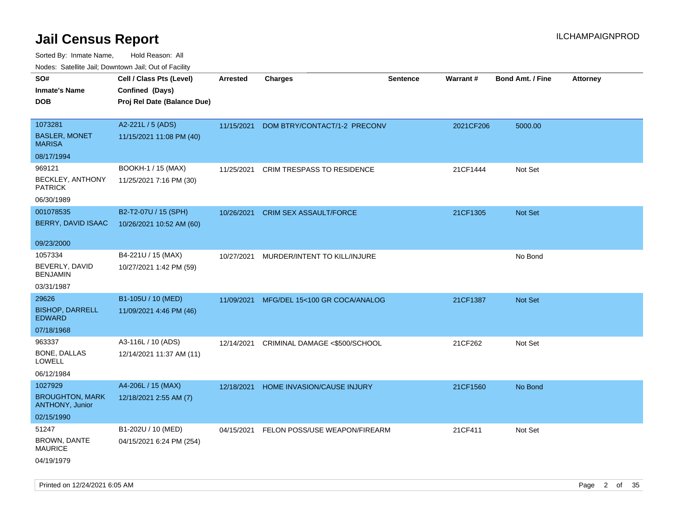| rouco. Calcillo Jali, Downtown Jali, Out of Facility |                             |                 |                               |                 |           |                         |                 |
|------------------------------------------------------|-----------------------------|-----------------|-------------------------------|-----------------|-----------|-------------------------|-----------------|
| SO#                                                  | Cell / Class Pts (Level)    | <b>Arrested</b> | <b>Charges</b>                | <b>Sentence</b> | Warrant#  | <b>Bond Amt. / Fine</b> | <b>Attorney</b> |
| Inmate's Name                                        | Confined (Days)             |                 |                               |                 |           |                         |                 |
| DOB                                                  | Proj Rel Date (Balance Due) |                 |                               |                 |           |                         |                 |
|                                                      |                             |                 |                               |                 |           |                         |                 |
| 1073281                                              | A2-221L / 5 (ADS)           | 11/15/2021      | DOM BTRY/CONTACT/1-2 PRECONV  |                 | 2021CF206 | 5000.00                 |                 |
| <b>BASLER, MONET</b><br><b>MARISA</b>                | 11/15/2021 11:08 PM (40)    |                 |                               |                 |           |                         |                 |
| 08/17/1994                                           |                             |                 |                               |                 |           |                         |                 |
| 969121                                               | BOOKH-1 / 15 (MAX)          | 11/25/2021      | CRIM TRESPASS TO RESIDENCE    |                 | 21CF1444  | Not Set                 |                 |
| BECKLEY, ANTHONY<br><b>PATRICK</b>                   | 11/25/2021 7:16 PM (30)     |                 |                               |                 |           |                         |                 |
| 06/30/1989                                           |                             |                 |                               |                 |           |                         |                 |
| 001078535                                            | B2-T2-07U / 15 (SPH)        | 10/26/2021      | <b>CRIM SEX ASSAULT/FORCE</b> |                 | 21CF1305  | Not Set                 |                 |
| <b>BERRY, DAVID ISAAC</b>                            | 10/26/2021 10:52 AM (60)    |                 |                               |                 |           |                         |                 |
|                                                      |                             |                 |                               |                 |           |                         |                 |
| 09/23/2000                                           |                             |                 |                               |                 |           |                         |                 |
| 1057334                                              | B4-221U / 15 (MAX)          | 10/27/2021      | MURDER/INTENT TO KILL/INJURE  |                 |           | No Bond                 |                 |
| BEVERLY, DAVID<br><b>BENJAMIN</b>                    | 10/27/2021 1:42 PM (59)     |                 |                               |                 |           |                         |                 |
| 03/31/1987                                           |                             |                 |                               |                 |           |                         |                 |
| 29626                                                | B1-105U / 10 (MED)          | 11/09/2021      | MFG/DEL 15<100 GR COCA/ANALOG |                 | 21CF1387  | Not Set                 |                 |
| <b>BISHOP, DARRELL</b><br>EDWARD                     | 11/09/2021 4:46 PM (46)     |                 |                               |                 |           |                         |                 |
| 07/18/1968                                           |                             |                 |                               |                 |           |                         |                 |
| 963337                                               | A3-116L / 10 (ADS)          | 12/14/2021      | CRIMINAL DAMAGE <\$500/SCHOOL |                 | 21CF262   | Not Set                 |                 |
| <b>BONE, DALLAS</b><br>LOWELL                        | 12/14/2021 11:37 AM (11)    |                 |                               |                 |           |                         |                 |
| 06/12/1984                                           |                             |                 |                               |                 |           |                         |                 |
| 1027929                                              | A4-206L / 15 (MAX)          | 12/18/2021      | HOME INVASION/CAUSE INJURY    |                 | 21CF1560  | No Bond                 |                 |
| <b>BROUGHTON, MARK</b><br><b>ANTHONY, Junior</b>     | 12/18/2021 2:55 AM (7)      |                 |                               |                 |           |                         |                 |
| 02/15/1990                                           |                             |                 |                               |                 |           |                         |                 |
| 51247                                                | B1-202U / 10 (MED)          | 04/15/2021      | FELON POSS/USE WEAPON/FIREARM |                 | 21CF411   | Not Set                 |                 |
| <b>BROWN, DANTE</b><br>MAURICE                       | 04/15/2021 6:24 PM (254)    |                 |                               |                 |           |                         |                 |
| 04/19/1979                                           |                             |                 |                               |                 |           |                         |                 |
|                                                      |                             |                 |                               |                 |           |                         |                 |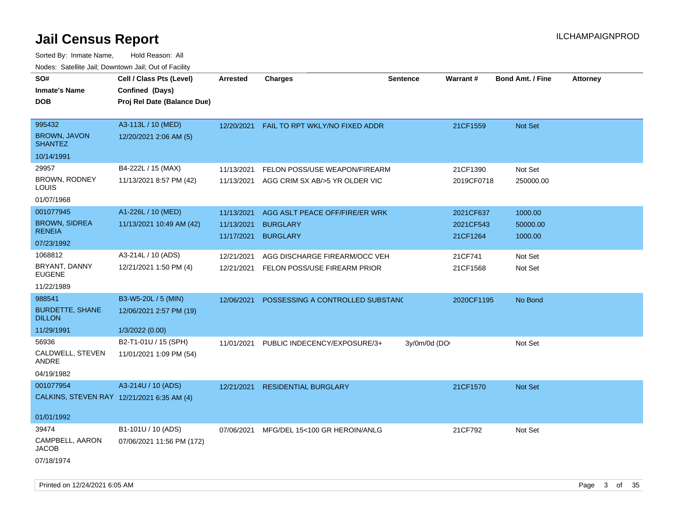Sorted By: Inmate Name, Hold Reason: All Nodes: Satellite Jail; Downtown Jail; Out of Facility

| roaco. Catolino cali, Downtown cali, Out of Fability |                                                                            |                                        |                                                                            |                 |                                    |                                |                 |
|------------------------------------------------------|----------------------------------------------------------------------------|----------------------------------------|----------------------------------------------------------------------------|-----------------|------------------------------------|--------------------------------|-----------------|
| SO#<br><b>Inmate's Name</b><br><b>DOB</b>            | Cell / Class Pts (Level)<br>Confined (Days)<br>Proj Rel Date (Balance Due) | <b>Arrested</b>                        | <b>Charges</b>                                                             | <b>Sentence</b> | Warrant#                           | <b>Bond Amt. / Fine</b>        | <b>Attorney</b> |
| 995432<br><b>BROWN, JAVON</b><br><b>SHANTEZ</b>      | A3-113L / 10 (MED)<br>12/20/2021 2:06 AM (5)                               | 12/20/2021                             | FAIL TO RPT WKLY/NO FIXED ADDR                                             |                 | 21CF1559                           | <b>Not Set</b>                 |                 |
| 10/14/1991                                           |                                                                            |                                        |                                                                            |                 |                                    |                                |                 |
| 29957<br><b>BROWN, RODNEY</b><br>LOUIS               | B4-222L / 15 (MAX)<br>11/13/2021 8:57 PM (42)                              | 11/13/2021                             | FELON POSS/USE WEAPON/FIREARM<br>11/13/2021 AGG CRIM SX AB/>5 YR OLDER VIC |                 | 21CF1390<br>2019CF0718             | Not Set<br>250000.00           |                 |
| 01/07/1968                                           |                                                                            |                                        |                                                                            |                 |                                    |                                |                 |
| 001077945<br><b>BROWN, SIDREA</b><br><b>RENEIA</b>   | A1-226L / 10 (MED)<br>11/13/2021 10:49 AM (42)                             | 11/13/2021<br>11/13/2021<br>11/17/2021 | AGG ASLT PEACE OFF/FIRE/ER WRK<br><b>BURGLARY</b><br><b>BURGLARY</b>       |                 | 2021CF637<br>2021CF543<br>21CF1264 | 1000.00<br>50000.00<br>1000.00 |                 |
| 07/23/1992                                           |                                                                            |                                        |                                                                            |                 |                                    |                                |                 |
| 1068812<br>BRYANT, DANNY<br><b>EUGENE</b>            | A3-214L / 10 (ADS)<br>12/21/2021 1:50 PM (4)                               | 12/21/2021<br>12/21/2021               | AGG DISCHARGE FIREARM/OCC VEH<br>FELON POSS/USE FIREARM PRIOR              |                 | 21CF741<br>21CF1568                | Not Set<br>Not Set             |                 |
| 11/22/1989                                           |                                                                            |                                        |                                                                            |                 |                                    |                                |                 |
| 988541                                               | B3-W5-20L / 5 (MIN)                                                        | 12/06/2021                             | POSSESSING A CONTROLLED SUBSTANC                                           |                 | 2020CF1195                         | No Bond                        |                 |
| <b>BURDETTE, SHANE</b><br><b>DILLON</b>              | 12/06/2021 2:57 PM (19)                                                    |                                        |                                                                            |                 |                                    |                                |                 |
| 11/29/1991                                           | 1/3/2022 (0.00)                                                            |                                        |                                                                            |                 |                                    |                                |                 |
| 56936<br>CALDWELL, STEVEN<br>ANDRE<br>04/19/1982     | B2-T1-01U / 15 (SPH)<br>11/01/2021 1:09 PM (54)                            | 11/01/2021                             | PUBLIC INDECENCY/EXPOSURE/3+                                               | 3y/0m/0d (DO    |                                    | Not Set                        |                 |
| 001077954                                            | A3-214U / 10 (ADS)                                                         | 12/21/2021                             | <b>RESIDENTIAL BURGLARY</b>                                                |                 | 21CF1570                           | <b>Not Set</b>                 |                 |
| CALKINS, STEVEN RAY 12/21/2021 6:35 AM (4)           |                                                                            |                                        |                                                                            |                 |                                    |                                |                 |
| 01/01/1992                                           |                                                                            |                                        |                                                                            |                 |                                    |                                |                 |
| 39474                                                | B1-101U / 10 (ADS)                                                         | 07/06/2021                             | MFG/DEL 15<100 GR HEROIN/ANLG                                              |                 | 21CF792                            | Not Set                        |                 |
| CAMPBELL, AARON<br><b>JACOB</b>                      | 07/06/2021 11:56 PM (172)                                                  |                                        |                                                                            |                 |                                    |                                |                 |
| 07/18/1974                                           |                                                                            |                                        |                                                                            |                 |                                    |                                |                 |

Printed on 12/24/2021 6:05 AM **Page 3 of 35**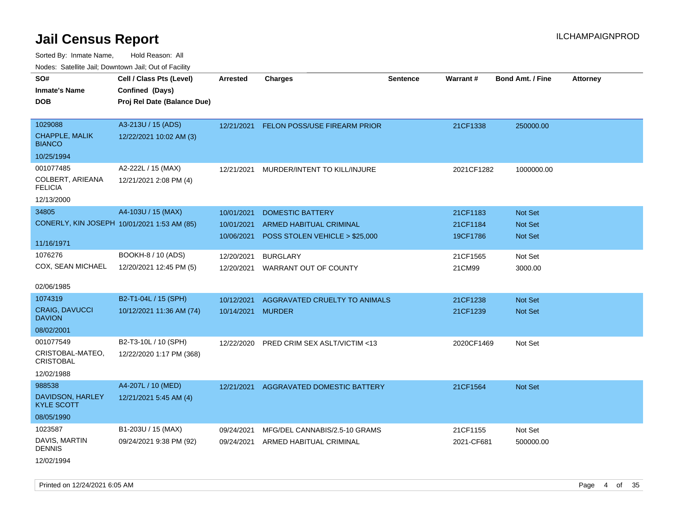| ivoues. Salellite Jali, Downtown Jali, Out of Facility |                                             |                 |                                |                 |                 |                         |                 |
|--------------------------------------------------------|---------------------------------------------|-----------------|--------------------------------|-----------------|-----------------|-------------------------|-----------------|
| SO#                                                    | Cell / Class Pts (Level)                    | <b>Arrested</b> | <b>Charges</b>                 | <b>Sentence</b> | <b>Warrant#</b> | <b>Bond Amt. / Fine</b> | <b>Attorney</b> |
| Inmate's Name                                          | Confined (Days)                             |                 |                                |                 |                 |                         |                 |
| <b>DOB</b>                                             | Proj Rel Date (Balance Due)                 |                 |                                |                 |                 |                         |                 |
|                                                        |                                             |                 |                                |                 |                 |                         |                 |
| 1029088                                                | A3-213U / 15 (ADS)                          | 12/21/2021      | FELON POSS/USE FIREARM PRIOR   |                 | 21CF1338        | 250000.00               |                 |
| CHAPPLE, MALIK<br><b>BIANCO</b>                        | 12/22/2021 10:02 AM (3)                     |                 |                                |                 |                 |                         |                 |
| 10/25/1994                                             |                                             |                 |                                |                 |                 |                         |                 |
| 001077485                                              | A2-222L / 15 (MAX)                          | 12/21/2021      | MURDER/INTENT TO KILL/INJURE   |                 | 2021CF1282      | 1000000.00              |                 |
| COLBERT, ARIEANA<br><b>FELICIA</b>                     | 12/21/2021 2:08 PM (4)                      |                 |                                |                 |                 |                         |                 |
| 12/13/2000                                             |                                             |                 |                                |                 |                 |                         |                 |
| 34805                                                  | A4-103U / 15 (MAX)                          | 10/01/2021      | <b>DOMESTIC BATTERY</b>        |                 | 21CF1183        | <b>Not Set</b>          |                 |
|                                                        | CONERLY, KIN JOSEPH 10/01/2021 1:53 AM (85) | 10/01/2021      | ARMED HABITUAL CRIMINAL        |                 | 21CF1184        | <b>Not Set</b>          |                 |
|                                                        |                                             | 10/06/2021      | POSS STOLEN VEHICLE > \$25,000 |                 | 19CF1786        | Not Set                 |                 |
| 11/16/1971                                             |                                             |                 |                                |                 |                 |                         |                 |
| 1076276                                                | BOOKH-8 / 10 (ADS)                          | 12/20/2021      | <b>BURGLARY</b>                |                 | 21CF1565        | Not Set                 |                 |
| COX, SEAN MICHAEL                                      | 12/20/2021 12:45 PM (5)                     | 12/20/2021      | WARRANT OUT OF COUNTY          |                 | 21CM99          | 3000.00                 |                 |
|                                                        |                                             |                 |                                |                 |                 |                         |                 |
| 02/06/1985                                             |                                             |                 |                                |                 |                 |                         |                 |
| 1074319                                                | B2-T1-04L / 15 (SPH)                        | 10/12/2021      | AGGRAVATED CRUELTY TO ANIMALS  |                 | 21CF1238        | <b>Not Set</b>          |                 |
| <b>CRAIG, DAVUCCI</b><br><b>DAVION</b>                 | 10/12/2021 11:36 AM (74)                    | 10/14/2021      | <b>MURDER</b>                  |                 | 21CF1239        | <b>Not Set</b>          |                 |
| 08/02/2001                                             |                                             |                 |                                |                 |                 |                         |                 |
| 001077549                                              | B2-T3-10L / 10 (SPH)                        | 12/22/2020      | PRED CRIM SEX ASLT/VICTIM <13  |                 | 2020CF1469      | Not Set                 |                 |
| CRISTOBAL-MATEO,<br><b>CRISTOBAL</b>                   | 12/22/2020 1:17 PM (368)                    |                 |                                |                 |                 |                         |                 |
| 12/02/1988                                             |                                             |                 |                                |                 |                 |                         |                 |
| 988538                                                 | A4-207L / 10 (MED)                          | 12/21/2021      | AGGRAVATED DOMESTIC BATTERY    |                 | 21CF1564        | Not Set                 |                 |
| DAVIDSON, HARLEY<br>KYLE SCOTT                         | 12/21/2021 5:45 AM (4)                      |                 |                                |                 |                 |                         |                 |
| 08/05/1990                                             |                                             |                 |                                |                 |                 |                         |                 |
| 1023587                                                | B1-203U / 15 (MAX)                          | 09/24/2021      | MFG/DEL CANNABIS/2.5-10 GRAMS  |                 | 21CF1155        | Not Set                 |                 |
| DAVIS, MARTIN<br>DENNIS                                | 09/24/2021 9:38 PM (92)                     | 09/24/2021      | ARMED HABITUAL CRIMINAL        |                 | 2021-CF681      | 500000.00               |                 |
| 12/02/1994                                             |                                             |                 |                                |                 |                 |                         |                 |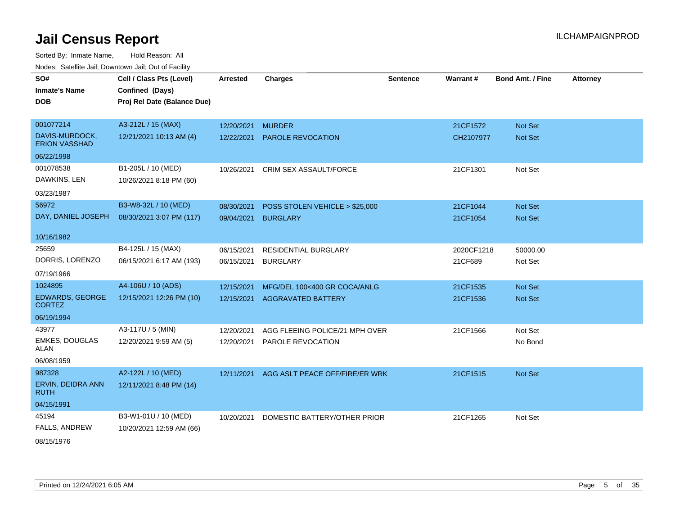Sorted By: Inmate Name, Hold Reason: All Nodes: Satellite Jail; Downtown Jail; Out of Facility

| SO#                                     | Cell / Class Pts (Level)    | <b>Arrested</b> | <b>Charges</b>                 | <b>Sentence</b> | Warrant#   | <b>Bond Amt. / Fine</b> | <b>Attorney</b> |
|-----------------------------------------|-----------------------------|-----------------|--------------------------------|-----------------|------------|-------------------------|-----------------|
| <b>Inmate's Name</b>                    | Confined (Days)             |                 |                                |                 |            |                         |                 |
| <b>DOB</b>                              | Proj Rel Date (Balance Due) |                 |                                |                 |            |                         |                 |
|                                         |                             |                 |                                |                 |            |                         |                 |
| 001077214                               | A3-212L / 15 (MAX)          | 12/20/2021      | <b>MURDER</b>                  |                 | 21CF1572   | <b>Not Set</b>          |                 |
| DAVIS-MURDOCK,<br><b>ERION VASSHAD</b>  | 12/21/2021 10:13 AM (4)     | 12/22/2021      | <b>PAROLE REVOCATION</b>       |                 | CH2107977  | <b>Not Set</b>          |                 |
| 06/22/1998                              |                             |                 |                                |                 |            |                         |                 |
| 001078538                               | B1-205L / 10 (MED)          | 10/26/2021      | <b>CRIM SEX ASSAULT/FORCE</b>  |                 | 21CF1301   | Not Set                 |                 |
| DAWKINS, LEN                            | 10/26/2021 8:18 PM (60)     |                 |                                |                 |            |                         |                 |
| 03/23/1987                              |                             |                 |                                |                 |            |                         |                 |
| 56972                                   | B3-W8-32L / 10 (MED)        | 08/30/2021      | POSS STOLEN VEHICLE > \$25,000 |                 | 21CF1044   | <b>Not Set</b>          |                 |
| DAY, DANIEL JOSEPH                      | 08/30/2021 3:07 PM (117)    | 09/04/2021      | <b>BURGLARY</b>                |                 | 21CF1054   | Not Set                 |                 |
|                                         |                             |                 |                                |                 |            |                         |                 |
| 10/16/1982                              |                             |                 |                                |                 |            |                         |                 |
| 25659                                   | B4-125L / 15 (MAX)          | 06/15/2021      | <b>RESIDENTIAL BURGLARY</b>    |                 | 2020CF1218 | 50000.00                |                 |
| DORRIS, LORENZO                         | 06/15/2021 6:17 AM (193)    | 06/15/2021      | <b>BURGLARY</b>                |                 | 21CF689    | Not Set                 |                 |
| 07/19/1966                              |                             |                 |                                |                 |            |                         |                 |
| 1024895                                 | A4-106U / 10 (ADS)          | 12/15/2021      | MFG/DEL 100<400 GR COCA/ANLG   |                 | 21CF1535   | Not Set                 |                 |
| <b>EDWARDS, GEORGE</b><br><b>CORTEZ</b> | 12/15/2021 12:26 PM (10)    | 12/15/2021      | <b>AGGRAVATED BATTERY</b>      |                 | 21CF1536   | <b>Not Set</b>          |                 |
| 06/19/1994                              |                             |                 |                                |                 |            |                         |                 |
| 43977                                   | A3-117U / 5 (MIN)           | 12/20/2021      | AGG FLEEING POLICE/21 MPH OVER |                 | 21CF1566   | Not Set                 |                 |
| <b>EMKES, DOUGLAS</b><br>ALAN           | 12/20/2021 9:59 AM (5)      | 12/20/2021      | PAROLE REVOCATION              |                 |            | No Bond                 |                 |
| 06/08/1959                              |                             |                 |                                |                 |            |                         |                 |
| 987328                                  | A2-122L / 10 (MED)          | 12/11/2021      | AGG ASLT PEACE OFF/FIRE/ER WRK |                 | 21CF1515   | Not Set                 |                 |
| ERVIN, DEIDRA ANN<br><b>RUTH</b>        | 12/11/2021 8:48 PM (14)     |                 |                                |                 |            |                         |                 |
| 04/15/1991                              |                             |                 |                                |                 |            |                         |                 |
| 45194                                   | B3-W1-01U / 10 (MED)        | 10/20/2021      | DOMESTIC BATTERY/OTHER PRIOR   |                 | 21CF1265   | Not Set                 |                 |
| <b>FALLS, ANDREW</b>                    | 10/20/2021 12:59 AM (66)    |                 |                                |                 |            |                         |                 |

08/15/1976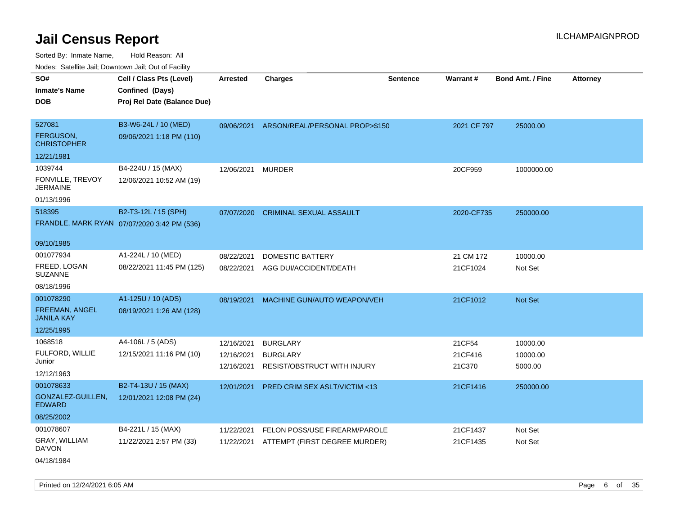Sorted By: Inmate Name, Hold Reason: All Nodes: Satellite Jail; Downtown Jail; Out of Facility

| roaco. Catolino cali, Domntonn cali, Out of Facility |                                             |                 |                                           |                 |             |                         |                 |
|------------------------------------------------------|---------------------------------------------|-----------------|-------------------------------------------|-----------------|-------------|-------------------------|-----------------|
| SO#                                                  | Cell / Class Pts (Level)                    | <b>Arrested</b> | <b>Charges</b>                            | <b>Sentence</b> | Warrant#    | <b>Bond Amt. / Fine</b> | <b>Attorney</b> |
| <b>Inmate's Name</b>                                 | Confined (Days)                             |                 |                                           |                 |             |                         |                 |
| <b>DOB</b>                                           | Proj Rel Date (Balance Due)                 |                 |                                           |                 |             |                         |                 |
|                                                      |                                             |                 |                                           |                 |             |                         |                 |
| 527081                                               | B3-W6-24L / 10 (MED)                        |                 | 09/06/2021 ARSON/REAL/PERSONAL PROP>\$150 |                 | 2021 CF 797 | 25000.00                |                 |
| <b>FERGUSON.</b><br><b>CHRISTOPHER</b>               | 09/06/2021 1:18 PM (110)                    |                 |                                           |                 |             |                         |                 |
| 12/21/1981                                           |                                             |                 |                                           |                 |             |                         |                 |
| 1039744                                              | B4-224U / 15 (MAX)                          | 12/06/2021      | <b>MURDER</b>                             |                 | 20CF959     | 1000000.00              |                 |
| FONVILLE, TREVOY<br><b>JERMAINE</b>                  | 12/06/2021 10:52 AM (19)                    |                 |                                           |                 |             |                         |                 |
| 01/13/1996                                           |                                             |                 |                                           |                 |             |                         |                 |
| 518395                                               | B2-T3-12L / 15 (SPH)                        | 07/07/2020      | <b>CRIMINAL SEXUAL ASSAULT</b>            |                 | 2020-CF735  | 250000.00               |                 |
|                                                      | FRANDLE, MARK RYAN 07/07/2020 3:42 PM (536) |                 |                                           |                 |             |                         |                 |
|                                                      |                                             |                 |                                           |                 |             |                         |                 |
| 09/10/1985                                           |                                             |                 |                                           |                 |             |                         |                 |
| 001077934                                            | A1-224L / 10 (MED)                          | 08/22/2021      | DOMESTIC BATTERY                          |                 | 21 CM 172   | 10000.00                |                 |
| FREED, LOGAN<br><b>SUZANNE</b>                       | 08/22/2021 11:45 PM (125)                   | 08/22/2021      | AGG DUI/ACCIDENT/DEATH                    |                 | 21CF1024    | Not Set                 |                 |
| 08/18/1996                                           |                                             |                 |                                           |                 |             |                         |                 |
| 001078290                                            | A1-125U / 10 (ADS)                          | 08/19/2021      | MACHINE GUN/AUTO WEAPON/VEH               |                 | 21CF1012    | Not Set                 |                 |
| <b>FREEMAN, ANGEL</b><br><b>JANILA KAY</b>           | 08/19/2021 1:26 AM (128)                    |                 |                                           |                 |             |                         |                 |
| 12/25/1995                                           |                                             |                 |                                           |                 |             |                         |                 |
| 1068518                                              | A4-106L / 5 (ADS)                           | 12/16/2021      | <b>BURGLARY</b>                           |                 | 21CF54      | 10000.00                |                 |
| FULFORD, WILLIE                                      | 12/15/2021 11:16 PM (10)                    | 12/16/2021      | <b>BURGLARY</b>                           |                 | 21CF416     | 10000.00                |                 |
| Junior                                               |                                             | 12/16/2021      | <b>RESIST/OBSTRUCT WITH INJURY</b>        |                 | 21C370      | 5000.00                 |                 |
| 12/12/1963                                           |                                             |                 |                                           |                 |             |                         |                 |
| 001078633                                            | B2-T4-13U / 15 (MAX)                        | 12/01/2021      | PRED CRIM SEX ASLT/VICTIM <13             |                 | 21CF1416    | 250000.00               |                 |
| GONZALEZ-GUILLEN,<br><b>EDWARD</b>                   | 12/01/2021 12:08 PM (24)                    |                 |                                           |                 |             |                         |                 |
| 08/25/2002                                           |                                             |                 |                                           |                 |             |                         |                 |
| 001078607                                            | B4-221L / 15 (MAX)                          | 11/22/2021      | FELON POSS/USE FIREARM/PAROLE             |                 | 21CF1437    | Not Set                 |                 |
| <b>GRAY, WILLIAM</b><br>DA'VON                       | 11/22/2021 2:57 PM (33)                     |                 | 11/22/2021 ATTEMPT (FIRST DEGREE MURDER)  |                 | 21CF1435    | Not Set                 |                 |
| 04/18/1984                                           |                                             |                 |                                           |                 |             |                         |                 |

Printed on 12/24/2021 6:05 AM **Page 6** of 35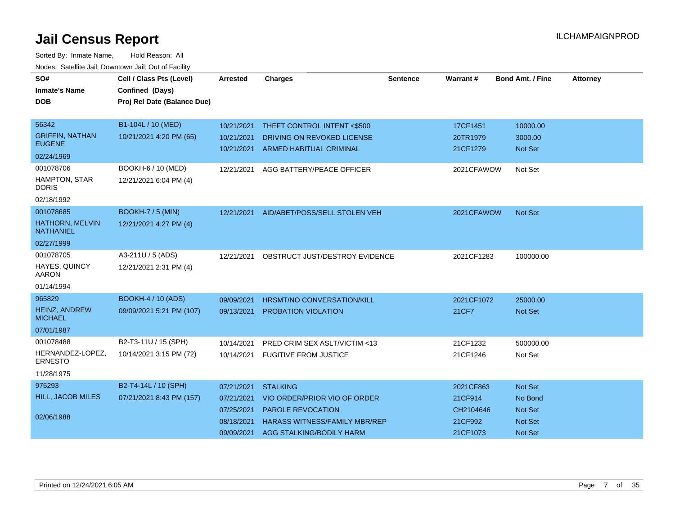| SO#<br><b>Inmate's Name</b><br><b>DOB</b>  | Cell / Class Pts (Level)<br>Confined (Days)<br>Proj Rel Date (Balance Due) | <b>Arrested</b> | <b>Charges</b>                           | <b>Sentence</b> | Warrant#   | <b>Bond Amt. / Fine</b> | <b>Attorney</b> |
|--------------------------------------------|----------------------------------------------------------------------------|-----------------|------------------------------------------|-----------------|------------|-------------------------|-----------------|
|                                            |                                                                            |                 |                                          |                 |            |                         |                 |
| 56342                                      | B1-104L / 10 (MED)                                                         | 10/21/2021      | THEFT CONTROL INTENT <\$500              |                 | 17CF1451   | 10000.00                |                 |
| <b>GRIFFIN, NATHAN</b><br><b>EUGENE</b>    | 10/21/2021 4:20 PM (65)                                                    | 10/21/2021      | DRIVING ON REVOKED LICENSE               |                 | 20TR1979   | 3000.00                 |                 |
| 02/24/1969                                 |                                                                            | 10/21/2021      | <b>ARMED HABITUAL CRIMINAL</b>           |                 | 21CF1279   | <b>Not Set</b>          |                 |
| 001078706                                  | BOOKH-6 / 10 (MED)                                                         | 12/21/2021      | AGG BATTERY/PEACE OFFICER                |                 | 2021CFAWOW | Not Set                 |                 |
| HAMPTON, STAR<br><b>DORIS</b>              | 12/21/2021 6:04 PM (4)                                                     |                 |                                          |                 |            |                         |                 |
| 02/18/1992                                 |                                                                            |                 |                                          |                 |            |                         |                 |
| 001078685                                  | <b>BOOKH-7 / 5 (MIN)</b>                                                   |                 | 12/21/2021 AID/ABET/POSS/SELL STOLEN VEH |                 | 2021CFAWOW | Not Set                 |                 |
| <b>HATHORN, MELVIN</b><br><b>NATHANIEL</b> | 12/21/2021 4:27 PM (4)                                                     |                 |                                          |                 |            |                         |                 |
| 02/27/1999                                 |                                                                            |                 |                                          |                 |            |                         |                 |
| 001078705                                  | A3-211U / 5 (ADS)                                                          | 12/21/2021      | OBSTRUCT JUST/DESTROY EVIDENCE           |                 | 2021CF1283 | 100000.00               |                 |
| HAYES, QUINCY<br><b>AARON</b>              | 12/21/2021 2:31 PM (4)                                                     |                 |                                          |                 |            |                         |                 |
| 01/14/1994                                 |                                                                            |                 |                                          |                 |            |                         |                 |
| 965829                                     | <b>BOOKH-4 / 10 (ADS)</b>                                                  | 09/09/2021      | <b>HRSMT/NO CONVERSATION/KILL</b>        |                 | 2021CF1072 | 25000.00                |                 |
| <b>HEINZ, ANDREW</b><br><b>MICHAEL</b>     | 09/09/2021 5:21 PM (107)                                                   | 09/13/2021      | PROBATION VIOLATION                      |                 | 21CF7      | Not Set                 |                 |
| 07/01/1987                                 |                                                                            |                 |                                          |                 |            |                         |                 |
| 001078488                                  | B2-T3-11U / 15 (SPH)                                                       | 10/14/2021      | PRED CRIM SEX ASLT/VICTIM <13            |                 | 21CF1232   | 500000.00               |                 |
| HERNANDEZ-LOPEZ,<br><b>ERNESTO</b>         | 10/14/2021 3:15 PM (72)                                                    | 10/14/2021      | <b>FUGITIVE FROM JUSTICE</b>             |                 | 21CF1246   | Not Set                 |                 |
| 11/28/1975                                 |                                                                            |                 |                                          |                 |            |                         |                 |
| 975293                                     | B2-T4-14L / 10 (SPH)                                                       | 07/21/2021      | <b>STALKING</b>                          |                 | 2021CF863  | Not Set                 |                 |
| HILL, JACOB MILES                          | 07/21/2021 8:43 PM (157)                                                   | 07/21/2021      | VIO ORDER/PRIOR VIO OF ORDER             |                 | 21CF914    | No Bond                 |                 |
|                                            |                                                                            | 07/25/2021      | <b>PAROLE REVOCATION</b>                 |                 | CH2104646  | <b>Not Set</b>          |                 |
| 02/06/1988                                 |                                                                            | 08/18/2021      | <b>HARASS WITNESS/FAMILY MBR/REP</b>     |                 | 21CF992    | <b>Not Set</b>          |                 |
|                                            |                                                                            | 09/09/2021      | AGG STALKING/BODILY HARM                 |                 | 21CF1073   | <b>Not Set</b>          |                 |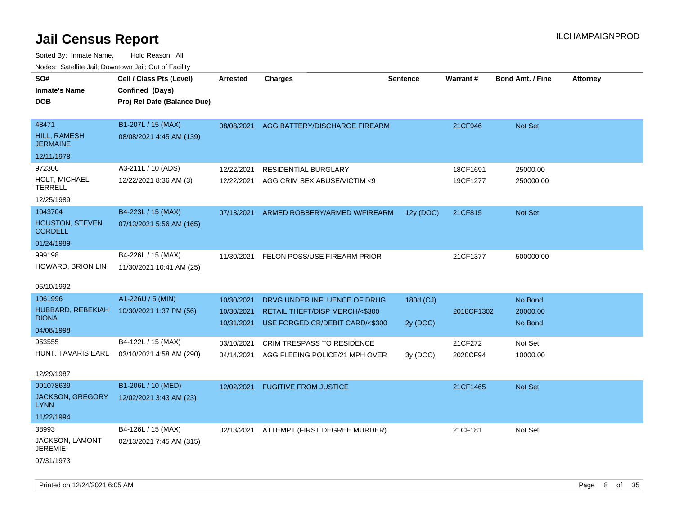| SO#<br><b>Inmate's Name</b><br><b>DOB</b>                         | Cell / Class Pts (Level)<br>Confined (Days)<br>Proj Rel Date (Balance Due) | Arrested                               | <b>Charges</b>                                                                                    | <b>Sentence</b>       | Warrant #            | <b>Bond Amt. / Fine</b>        | <b>Attorney</b> |
|-------------------------------------------------------------------|----------------------------------------------------------------------------|----------------------------------------|---------------------------------------------------------------------------------------------------|-----------------------|----------------------|--------------------------------|-----------------|
| 48471<br><b>HILL, RAMESH</b><br><b>JERMAINE</b>                   | B1-207L / 15 (MAX)<br>08/08/2021 4:45 AM (139)                             | 08/08/2021                             | AGG BATTERY/DISCHARGE FIREARM                                                                     |                       | 21CF946              | Not Set                        |                 |
| 12/11/1978                                                        |                                                                            |                                        |                                                                                                   |                       |                      |                                |                 |
| 972300<br>HOLT, MICHAEL<br><b>TERRELL</b><br>12/25/1989           | A3-211L / 10 (ADS)<br>12/22/2021 8:36 AM (3)                               | 12/22/2021<br>12/22/2021               | <b>RESIDENTIAL BURGLARY</b><br>AGG CRIM SEX ABUSE/VICTIM <9                                       |                       | 18CF1691<br>19CF1277 | 25000.00<br>250000.00          |                 |
| 1043704<br><b>HOUSTON, STEVEN</b><br><b>CORDELL</b>               | B4-223L / 15 (MAX)<br>07/13/2021 5:56 AM (165)                             | 07/13/2021                             | ARMED ROBBERY/ARMED W/FIREARM                                                                     | 12y (DOC)             | 21CF815              | Not Set                        |                 |
| 01/24/1989                                                        |                                                                            |                                        |                                                                                                   |                       |                      |                                |                 |
| 999198<br>HOWARD, BRION LIN                                       | B4-226L / 15 (MAX)<br>11/30/2021 10:41 AM (25)                             | 11/30/2021                             | FELON POSS/USE FIREARM PRIOR                                                                      |                       | 21CF1377             | 500000.00                      |                 |
| 06/10/1992<br>1061996                                             | A1-226U / 5 (MIN)                                                          |                                        |                                                                                                   |                       |                      |                                |                 |
| HUBBARD, REBEKIAH<br><b>DIONA</b><br>04/08/1998                   | 10/30/2021 1:37 PM (56)                                                    | 10/30/2021<br>10/30/2021<br>10/31/2021 | DRVG UNDER INFLUENCE OF DRUG<br>RETAIL THEFT/DISP MERCH/<\$300<br>USE FORGED CR/DEBIT CARD/<\$300 | 180d (CJ)<br>2y (DOC) | 2018CF1302           | No Bond<br>20000.00<br>No Bond |                 |
| 953555                                                            | B4-122L / 15 (MAX)                                                         | 03/10/2021                             | CRIM TRESPASS TO RESIDENCE                                                                        |                       | 21CF272              | Not Set                        |                 |
| HUNT, TAVARIS EARL<br>12/29/1987                                  | 03/10/2021 4:58 AM (290)                                                   | 04/14/2021                             | AGG FLEEING POLICE/21 MPH OVER                                                                    | 3y (DOC)              | 2020CF94             | 10000.00                       |                 |
| 001078639<br><b>JACKSON, GREGORY</b><br><b>LYNN</b><br>11/22/1994 | B1-206L / 10 (MED)<br>12/02/2021 3:43 AM (23)                              | 12/02/2021                             | <b>FUGITIVE FROM JUSTICE</b>                                                                      |                       | 21CF1465             | Not Set                        |                 |
| 38993<br>JACKSON, LAMONT<br><b>JEREMIE</b><br>07/31/1973          | B4-126L / 15 (MAX)<br>02/13/2021 7:45 AM (315)                             |                                        | 02/13/2021 ATTEMPT (FIRST DEGREE MURDER)                                                          |                       | 21CF181              | Not Set                        |                 |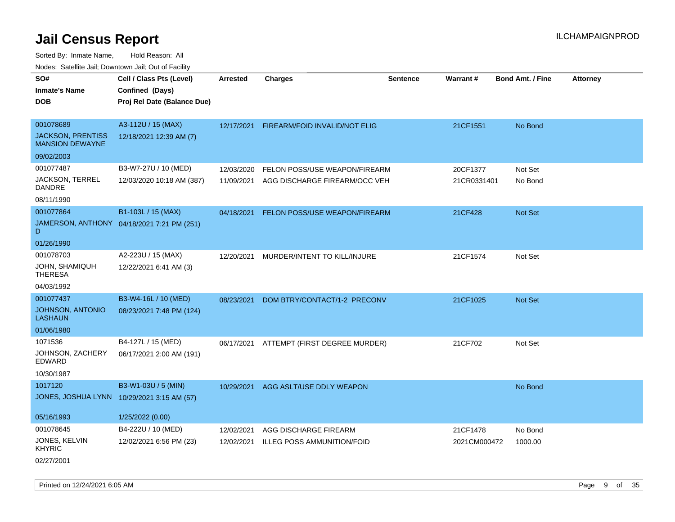Sorted By: Inmate Name, Hold Reason: All Nodes: Satellite Jail; Downtown Jail; Out of Facility

| <b>NOULD:</b> Catoline can, Downtown can, Out of Fability |                                            |                 |                                          |                 |              |                         |                 |
|-----------------------------------------------------------|--------------------------------------------|-----------------|------------------------------------------|-----------------|--------------|-------------------------|-----------------|
| SO#                                                       | Cell / Class Pts (Level)                   | <b>Arrested</b> | <b>Charges</b>                           | <b>Sentence</b> | Warrant#     | <b>Bond Amt. / Fine</b> | <b>Attorney</b> |
| <b>Inmate's Name</b>                                      | Confined (Days)                            |                 |                                          |                 |              |                         |                 |
| <b>DOB</b>                                                | Proj Rel Date (Balance Due)                |                 |                                          |                 |              |                         |                 |
|                                                           |                                            |                 |                                          |                 |              |                         |                 |
| 001078689                                                 | A3-112U / 15 (MAX)                         |                 | 12/17/2021 FIREARM/FOID INVALID/NOT ELIG |                 | 21CF1551     | No Bond                 |                 |
| <b>JACKSON, PRENTISS</b><br><b>MANSION DEWAYNE</b>        | 12/18/2021 12:39 AM (7)                    |                 |                                          |                 |              |                         |                 |
| 09/02/2003                                                |                                            |                 |                                          |                 |              |                         |                 |
| 001077487                                                 | B3-W7-27U / 10 (MED)                       | 12/03/2020      | FELON POSS/USE WEAPON/FIREARM            |                 | 20CF1377     | Not Set                 |                 |
| <b>JACKSON, TERREL</b><br><b>DANDRE</b>                   | 12/03/2020 10:18 AM (387)                  |                 | 11/09/2021 AGG DISCHARGE FIREARM/OCC VEH |                 | 21CR0331401  | No Bond                 |                 |
| 08/11/1990                                                |                                            |                 |                                          |                 |              |                         |                 |
| 001077864                                                 | B1-103L / 15 (MAX)                         | 04/18/2021      | FELON POSS/USE WEAPON/FIREARM            |                 | 21CF428      | Not Set                 |                 |
| D                                                         | JAMERSON, ANTHONY 04/18/2021 7:21 PM (251) |                 |                                          |                 |              |                         |                 |
| 01/26/1990                                                |                                            |                 |                                          |                 |              |                         |                 |
| 001078703                                                 | A2-223U / 15 (MAX)                         | 12/20/2021      | MURDER/INTENT TO KILL/INJURE             |                 | 21CF1574     | Not Set                 |                 |
| <b>JOHN, SHAMIQUH</b><br><b>THERESA</b>                   | 12/22/2021 6:41 AM (3)                     |                 |                                          |                 |              |                         |                 |
| 04/03/1992                                                |                                            |                 |                                          |                 |              |                         |                 |
| 001077437                                                 | B3-W4-16L / 10 (MED)                       | 08/23/2021      | DOM BTRY/CONTACT/1-2 PRECONV             |                 | 21CF1025     | Not Set                 |                 |
| JOHNSON, ANTONIO<br><b>LASHAUN</b>                        | 08/23/2021 7:48 PM (124)                   |                 |                                          |                 |              |                         |                 |
| 01/06/1980                                                |                                            |                 |                                          |                 |              |                         |                 |
| 1071536                                                   | B4-127L / 15 (MED)                         |                 | 06/17/2021 ATTEMPT (FIRST DEGREE MURDER) |                 | 21CF702      | Not Set                 |                 |
| JOHNSON, ZACHERY<br>EDWARD                                | 06/17/2021 2:00 AM (191)                   |                 |                                          |                 |              |                         |                 |
| 10/30/1987                                                |                                            |                 |                                          |                 |              |                         |                 |
| 1017120                                                   | B3-W1-03U / 5 (MIN)                        |                 | 10/29/2021 AGG ASLT/USE DDLY WEAPON      |                 |              | No Bond                 |                 |
| JONES, JOSHUA LYNN                                        | 10/29/2021 3:15 AM (57)                    |                 |                                          |                 |              |                         |                 |
|                                                           |                                            |                 |                                          |                 |              |                         |                 |
| 05/16/1993                                                | 1/25/2022 (0.00)                           |                 |                                          |                 |              |                         |                 |
| 001078645                                                 | B4-222U / 10 (MED)                         | 12/02/2021      | AGG DISCHARGE FIREARM                    |                 | 21CF1478     | No Bond                 |                 |
| JONES, KELVIN<br><b>KHYRIC</b>                            | 12/02/2021 6:56 PM (23)                    | 12/02/2021      | <b>ILLEG POSS AMMUNITION/FOID</b>        |                 | 2021CM000472 | 1000.00                 |                 |
| 02/27/2001                                                |                                            |                 |                                          |                 |              |                         |                 |

Printed on  $12/24/2021$  6:05 AM Page 9 of 35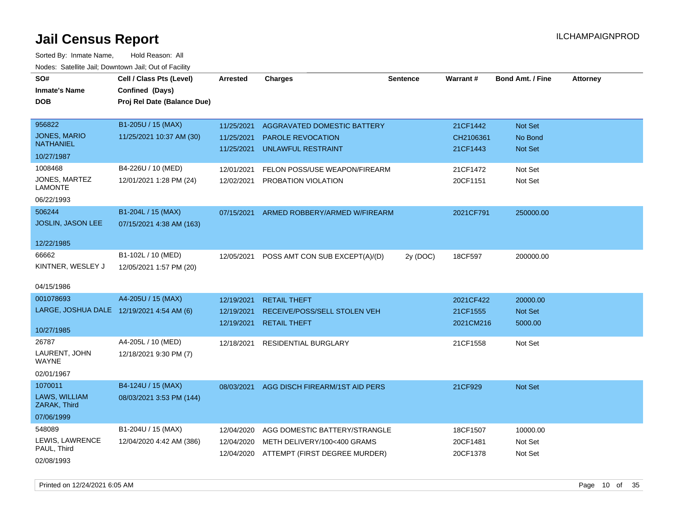| SO#                                       | Cell / Class Pts (Level)    | <b>Arrested</b> | <b>Charges</b>                 | <b>Sentence</b> | Warrant#  | <b>Bond Amt. / Fine</b> | <b>Attorney</b> |
|-------------------------------------------|-----------------------------|-----------------|--------------------------------|-----------------|-----------|-------------------------|-----------------|
| <b>Inmate's Name</b>                      | Confined (Days)             |                 |                                |                 |           |                         |                 |
| <b>DOB</b>                                | Proj Rel Date (Balance Due) |                 |                                |                 |           |                         |                 |
|                                           |                             |                 |                                |                 |           |                         |                 |
| 956822                                    | B1-205U / 15 (MAX)          | 11/25/2021      | AGGRAVATED DOMESTIC BATTERY    |                 | 21CF1442  | Not Set                 |                 |
| <b>JONES, MARIO</b>                       | 11/25/2021 10:37 AM (30)    | 11/25/2021      | <b>PAROLE REVOCATION</b>       |                 | CH2106361 | No Bond                 |                 |
| <b>NATHANIEL</b>                          |                             | 11/25/2021      | <b>UNLAWFUL RESTRAINT</b>      |                 | 21CF1443  | <b>Not Set</b>          |                 |
| 10/27/1987                                |                             |                 |                                |                 |           |                         |                 |
| 1008468                                   | B4-226U / 10 (MED)          | 12/01/2021      | FELON POSS/USE WEAPON/FIREARM  |                 | 21CF1472  | Not Set                 |                 |
| <b>JONES, MARTEZ</b><br><b>LAMONTE</b>    | 12/01/2021 1:28 PM (24)     | 12/02/2021      | PROBATION VIOLATION            |                 | 20CF1151  | Not Set                 |                 |
| 06/22/1993                                |                             |                 |                                |                 |           |                         |                 |
| 506244                                    | B1-204L / 15 (MAX)          | 07/15/2021      | ARMED ROBBERY/ARMED W/FIREARM  |                 | 2021CF791 | 250000.00               |                 |
| JOSLIN, JASON LEE                         | 07/15/2021 4:38 AM (163)    |                 |                                |                 |           |                         |                 |
| 12/22/1985                                |                             |                 |                                |                 |           |                         |                 |
| 66662                                     | B1-102L / 10 (MED)          | 12/05/2021      | POSS AMT CON SUB EXCEPT(A)/(D) | 2y (DOC)        | 18CF597   | 200000.00               |                 |
| KINTNER, WESLEY J                         | 12/05/2021 1:57 PM (20)     |                 |                                |                 |           |                         |                 |
| 04/15/1986                                |                             |                 |                                |                 |           |                         |                 |
| 001078693                                 | A4-205U / 15 (MAX)          | 12/19/2021      | <b>RETAIL THEFT</b>            |                 | 2021CF422 | 20000.00                |                 |
| LARGE, JOSHUA DALE 12/19/2021 4:54 AM (6) |                             | 12/19/2021      | RECEIVE/POSS/SELL STOLEN VEH   |                 | 21CF1555  | Not Set                 |                 |
|                                           |                             | 12/19/2021      | <b>RETAIL THEFT</b>            |                 | 2021CM216 | 5000.00                 |                 |
| 10/27/1985                                |                             |                 |                                |                 |           |                         |                 |
| 26787                                     | A4-205L / 10 (MED)          | 12/18/2021      | <b>RESIDENTIAL BURGLARY</b>    |                 | 21CF1558  | Not Set                 |                 |
| LAURENT, JOHN<br>WAYNE                    | 12/18/2021 9:30 PM (7)      |                 |                                |                 |           |                         |                 |
| 02/01/1967                                |                             |                 |                                |                 |           |                         |                 |
| 1070011                                   | B4-124U / 15 (MAX)          | 08/03/2021      | AGG DISCH FIREARM/1ST AID PERS |                 | 21CF929   | <b>Not Set</b>          |                 |
| LAWS, WILLIAM<br>ZARAK, Third             | 08/03/2021 3:53 PM (144)    |                 |                                |                 |           |                         |                 |
| 07/06/1999                                |                             |                 |                                |                 |           |                         |                 |
| 548089                                    | B1-204U / 15 (MAX)          | 12/04/2020      | AGG DOMESTIC BATTERY/STRANGLE  |                 | 18CF1507  | 10000.00                |                 |
| LEWIS, LAWRENCE                           | 12/04/2020 4:42 AM (386)    | 12/04/2020      | METH DELIVERY/100<400 GRAMS    |                 | 20CF1481  | Not Set                 |                 |
| PAUL, Third                               |                             | 12/04/2020      | ATTEMPT (FIRST DEGREE MURDER)  |                 | 20CF1378  | Not Set                 |                 |
| 02/08/1993                                |                             |                 |                                |                 |           |                         |                 |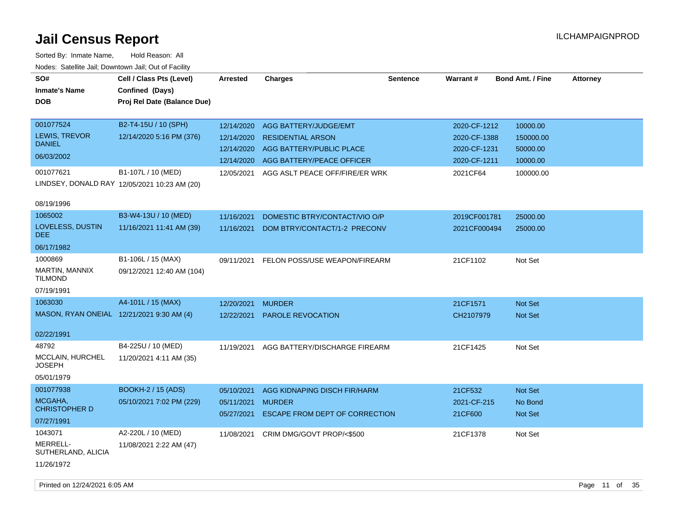| SO#<br><b>Inmate's Name</b><br><b>DOB</b>                              | Cell / Class Pts (Level)<br>Confined (Days)<br>Proj Rel Date (Balance Due)                                             | <b>Arrested</b>                                                    | <b>Charges</b>                                                                                                                               | <b>Sentence</b> | <b>Warrant#</b>                                                          | <b>Bond Amt. / Fine</b>                                    | <b>Attorney</b> |
|------------------------------------------------------------------------|------------------------------------------------------------------------------------------------------------------------|--------------------------------------------------------------------|----------------------------------------------------------------------------------------------------------------------------------------------|-----------------|--------------------------------------------------------------------------|------------------------------------------------------------|-----------------|
| 001077524<br>LEWIS, TREVOR<br><b>DANIEL</b><br>06/03/2002<br>001077621 | B2-T4-15U / 10 (SPH)<br>12/14/2020 5:16 PM (376)<br>B1-107L / 10 (MED)<br>LINDSEY, DONALD RAY 12/05/2021 10:23 AM (20) | 12/14/2020<br>12/14/2020<br>12/14/2020<br>12/14/2020<br>12/05/2021 | AGG BATTERY/JUDGE/EMT<br><b>RESIDENTIAL ARSON</b><br>AGG BATTERY/PUBLIC PLACE<br>AGG BATTERY/PEACE OFFICER<br>AGG ASLT PEACE OFF/FIRE/ER WRK |                 | 2020-CF-1212<br>2020-CF-1388<br>2020-CF-1231<br>2020-CF-1211<br>2021CF64 | 10000.00<br>150000.00<br>50000.00<br>10000.00<br>100000.00 |                 |
| 08/19/1996<br>1065002<br>LOVELESS, DUSTIN<br><b>DEE</b><br>06/17/1982  | B3-W4-13U / 10 (MED)<br>11/16/2021 11:41 AM (39)                                                                       | 11/16/2021<br>11/16/2021                                           | DOMESTIC BTRY/CONTACT/VIO O/P<br>DOM BTRY/CONTACT/1-2 PRECONV                                                                                |                 | 2019CF001781<br>2021CF000494                                             | 25000.00<br>25000.00                                       |                 |
| 1000869<br>MARTIN, MANNIX<br><b>TILMOND</b><br>07/19/1991              | B1-106L / 15 (MAX)<br>09/12/2021 12:40 AM (104)                                                                        | 09/11/2021                                                         | FELON POSS/USE WEAPON/FIREARM                                                                                                                |                 | 21CF1102                                                                 | Not Set                                                    |                 |
| 1063030<br>MASON, RYAN ONEIAL 12/21/2021 9:30 AM (4)<br>02/22/1991     | A4-101L / 15 (MAX)                                                                                                     | 12/20/2021<br>12/22/2021                                           | <b>MURDER</b><br><b>PAROLE REVOCATION</b>                                                                                                    |                 | 21CF1571<br>CH2107979                                                    | <b>Not Set</b><br><b>Not Set</b>                           |                 |
| 48792<br>MCCLAIN, HURCHEL<br><b>JOSEPH</b><br>05/01/1979               | B4-225U / 10 (MED)<br>11/20/2021 4:11 AM (35)                                                                          | 11/19/2021                                                         | AGG BATTERY/DISCHARGE FIREARM                                                                                                                |                 | 21CF1425                                                                 | Not Set                                                    |                 |
| 001077938<br>MCGAHA,<br><b>CHRISTOPHER D</b><br>07/27/1991             | <b>BOOKH-2 / 15 (ADS)</b><br>05/10/2021 7:02 PM (229)                                                                  | 05/10/2021<br>05/11/2021 MURDER                                    | AGG KIDNAPING DISCH FIR/HARM<br>05/27/2021 ESCAPE FROM DEPT OF CORRECTION                                                                    |                 | 21CF532<br>2021-CF-215<br>21CF600                                        | Not Set<br>No Bond<br><b>Not Set</b>                       |                 |
| 1043071<br>MERRELL-<br>SUTHERLAND, ALICIA<br>11/26/1972                | A2-220L / 10 (MED)<br>11/08/2021 2:22 AM (47)                                                                          | 11/08/2021                                                         | CRIM DMG/GOVT PROP/<\$500                                                                                                                    |                 | 21CF1378                                                                 | Not Set                                                    |                 |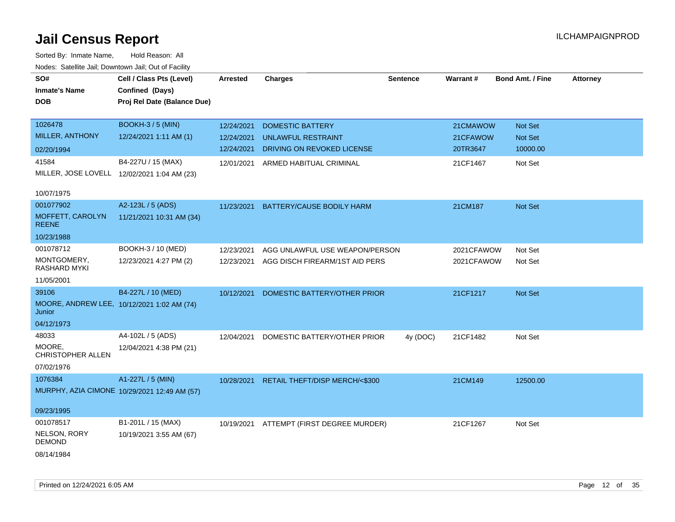| SO#                                                  | Cell / Class Pts (Level)                     | <b>Arrested</b> | <b>Charges</b>                           | <b>Sentence</b> | Warrant#   | <b>Bond Amt. / Fine</b> | Attorney |
|------------------------------------------------------|----------------------------------------------|-----------------|------------------------------------------|-----------------|------------|-------------------------|----------|
| <b>Inmate's Name</b>                                 | Confined (Days)                              |                 |                                          |                 |            |                         |          |
| <b>DOB</b>                                           | Proj Rel Date (Balance Due)                  |                 |                                          |                 |            |                         |          |
|                                                      |                                              |                 |                                          |                 |            |                         |          |
| 1026478                                              | <b>BOOKH-3 / 5 (MIN)</b>                     | 12/24/2021      | <b>DOMESTIC BATTERY</b>                  |                 | 21CMAWOW   | <b>Not Set</b>          |          |
| MILLER, ANTHONY                                      | 12/24/2021 1:11 AM (1)                       | 12/24/2021      | <b>UNLAWFUL RESTRAINT</b>                |                 | 21CFAWOW   | Not Set                 |          |
| 02/20/1994                                           |                                              | 12/24/2021      | DRIVING ON REVOKED LICENSE               |                 | 20TR3647   | 10000.00                |          |
| 41584                                                | B4-227U / 15 (MAX)                           | 12/01/2021      | ARMED HABITUAL CRIMINAL                  |                 | 21CF1467   | Not Set                 |          |
| MILLER, JOSE LOVELL 12/02/2021 1:04 AM (23)          |                                              |                 |                                          |                 |            |                         |          |
|                                                      |                                              |                 |                                          |                 |            |                         |          |
| 10/07/1975                                           |                                              |                 |                                          |                 |            |                         |          |
| 001077902                                            | A2-123L / 5 (ADS)                            | 11/23/2021      | BATTERY/CAUSE BODILY HARM                |                 | 21CM187    | Not Set                 |          |
| MOFFETT, CAROLYN<br><b>REENE</b>                     | 11/21/2021 10:31 AM (34)                     |                 |                                          |                 |            |                         |          |
| 10/23/1988                                           |                                              |                 |                                          |                 |            |                         |          |
| 001078712                                            | BOOKH-3 / 10 (MED)                           | 12/23/2021      | AGG UNLAWFUL USE WEAPON/PERSON           |                 | 2021CFAWOW | Not Set                 |          |
| MONTGOMERY,<br>RASHARD MYKI                          | 12/23/2021 4:27 PM (2)                       | 12/23/2021      | AGG DISCH FIREARM/1ST AID PERS           |                 | 2021CFAWOW | Not Set                 |          |
| 11/05/2001                                           |                                              |                 |                                          |                 |            |                         |          |
| 39106                                                | B4-227L / 10 (MED)                           | 10/12/2021      | DOMESTIC BATTERY/OTHER PRIOR             |                 | 21CF1217   | Not Set                 |          |
| MOORE, ANDREW LEE, 10/12/2021 1:02 AM (74)<br>Junior |                                              |                 |                                          |                 |            |                         |          |
| 04/12/1973                                           |                                              |                 |                                          |                 |            |                         |          |
| 48033                                                | A4-102L / 5 (ADS)                            | 12/04/2021      | DOMESTIC BATTERY/OTHER PRIOR             | 4y (DOC)        | 21CF1482   | Not Set                 |          |
| MOORE.<br>CHRISTOPHER ALLEN                          | 12/04/2021 4:38 PM (21)                      |                 |                                          |                 |            |                         |          |
| 07/02/1976                                           |                                              |                 |                                          |                 |            |                         |          |
| 1076384                                              | A1-227L / 5 (MIN)                            | 10/28/2021      | RETAIL THEFT/DISP MERCH/<\$300           |                 | 21CM149    | 12500.00                |          |
|                                                      | MURPHY, AZIA CIMONE 10/29/2021 12:49 AM (57) |                 |                                          |                 |            |                         |          |
| 09/23/1995                                           |                                              |                 |                                          |                 |            |                         |          |
| 001078517                                            | B1-201L / 15 (MAX)                           |                 | 10/19/2021 ATTEMPT (FIRST DEGREE MURDER) |                 | 21CF1267   | Not Set                 |          |
| NELSON, RORY<br><b>DEMOND</b>                        | 10/19/2021 3:55 AM (67)                      |                 |                                          |                 |            |                         |          |
| 08/14/1984                                           |                                              |                 |                                          |                 |            |                         |          |
|                                                      |                                              |                 |                                          |                 |            |                         |          |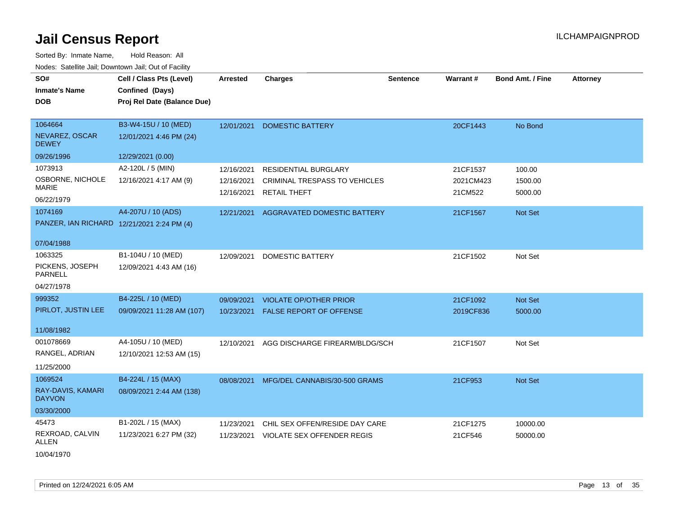| SO#<br><b>Inmate's Name</b><br><b>DOB</b>                           | Cell / Class Pts (Level)<br>Confined (Days)<br>Proj Rel Date (Balance Due) | <b>Arrested</b>                        | <b>Charges</b>                                                               | <b>Sentence</b> | Warrant#                         | <b>Bond Amt. / Fine</b>      | <b>Attorney</b> |
|---------------------------------------------------------------------|----------------------------------------------------------------------------|----------------------------------------|------------------------------------------------------------------------------|-----------------|----------------------------------|------------------------------|-----------------|
| 1064664<br>NEVAREZ, OSCAR<br><b>DEWEY</b>                           | B3-W4-15U / 10 (MED)<br>12/01/2021 4:46 PM (24)                            | 12/01/2021                             | <b>DOMESTIC BATTERY</b>                                                      |                 | 20CF1443                         | No Bond                      |                 |
| 09/26/1996                                                          | 12/29/2021 (0.00)                                                          |                                        |                                                                              |                 |                                  |                              |                 |
| 1073913<br>OSBORNE, NICHOLE<br><b>MARIE</b><br>06/22/1979           | A2-120L / 5 (MIN)<br>12/16/2021 4:17 AM (9)                                | 12/16/2021<br>12/16/2021<br>12/16/2021 | RESIDENTIAL BURGLARY<br>CRIMINAL TRESPASS TO VEHICLES<br><b>RETAIL THEFT</b> |                 | 21CF1537<br>2021CM423<br>21CM522 | 100.00<br>1500.00<br>5000.00 |                 |
| 1074169<br>PANZER, IAN RICHARD 12/21/2021 2:24 PM (4)<br>07/04/1988 | A4-207U / 10 (ADS)                                                         | 12/21/2021                             | AGGRAVATED DOMESTIC BATTERY                                                  |                 | 21CF1567                         | Not Set                      |                 |
| 1063325<br>PICKENS, JOSEPH<br>PARNELL<br>04/27/1978                 | B1-104U / 10 (MED)<br>12/09/2021 4:43 AM (16)                              | 12/09/2021                             | <b>DOMESTIC BATTERY</b>                                                      |                 | 21CF1502                         | Not Set                      |                 |
| 999352<br>PIRLOT, JUSTIN LEE<br>11/08/1982                          | B4-225L / 10 (MED)<br>09/09/2021 11:28 AM (107)                            | 09/09/2021<br>10/23/2021               | <b>VIOLATE OP/OTHER PRIOR</b><br><b>FALSE REPORT OF OFFENSE</b>              |                 | 21CF1092<br>2019CF836            | Not Set<br>5000.00           |                 |
| 001078669<br>RANGEL, ADRIAN<br>11/25/2000                           | A4-105U / 10 (MED)<br>12/10/2021 12:53 AM (15)                             | 12/10/2021                             | AGG DISCHARGE FIREARM/BLDG/SCH                                               |                 | 21CF1507                         | Not Set                      |                 |
| 1069524<br>RAY-DAVIS, KAMARI<br><b>DAYVON</b><br>03/30/2000         | B4-224L / 15 (MAX)<br>08/09/2021 2:44 AM (138)                             | 08/08/2021                             | MFG/DEL CANNABIS/30-500 GRAMS                                                |                 | 21CF953                          | Not Set                      |                 |
| 45473<br>REXROAD, CALVIN<br>ALLEN<br>10/04/1970                     | B1-202L / 15 (MAX)<br>11/23/2021 6:27 PM (32)                              | 11/23/2021<br>11/23/2021               | CHIL SEX OFFEN/RESIDE DAY CARE<br>VIOLATE SEX OFFENDER REGIS                 |                 | 21CF1275<br>21CF546              | 10000.00<br>50000.00         |                 |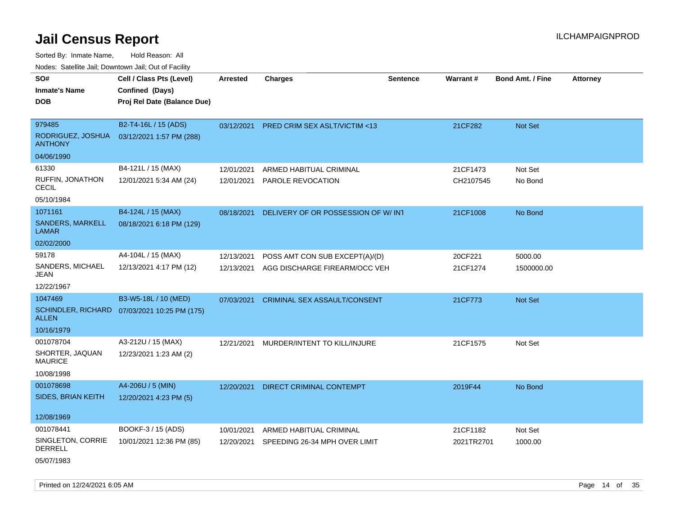Sorted By: Inmate Name, Hold Reason: All Nodes: Satellite Jail; Downtown Jail; Out of Facility

| ivoues. Salellite Jali, Downtown Jali, Out of Facility |                                              |                 |                                     |                 |            |                         |          |
|--------------------------------------------------------|----------------------------------------------|-----------------|-------------------------------------|-----------------|------------|-------------------------|----------|
| SO#                                                    | Cell / Class Pts (Level)                     | <b>Arrested</b> | <b>Charges</b>                      | <b>Sentence</b> | Warrant#   | <b>Bond Amt. / Fine</b> | Attorney |
| <b>Inmate's Name</b>                                   | Confined (Days)                              |                 |                                     |                 |            |                         |          |
| <b>DOB</b>                                             | Proj Rel Date (Balance Due)                  |                 |                                     |                 |            |                         |          |
|                                                        |                                              |                 |                                     |                 |            |                         |          |
| 979485                                                 | B2-T4-16L / 15 (ADS)                         | 03/12/2021      | PRED CRIM SEX ASLT/VICTIM <13       |                 | 21CF282    | Not Set                 |          |
| RODRIGUEZ, JOSHUA<br><b>ANTHONY</b>                    | 03/12/2021 1:57 PM (288)                     |                 |                                     |                 |            |                         |          |
| 04/06/1990                                             |                                              |                 |                                     |                 |            |                         |          |
| 61330                                                  | B4-121L / 15 (MAX)                           | 12/01/2021      | ARMED HABITUAL CRIMINAL             |                 | 21CF1473   | Not Set                 |          |
| RUFFIN, JONATHON<br><b>CECIL</b>                       | 12/01/2021 5:34 AM (24)                      | 12/01/2021      | <b>PAROLE REVOCATION</b>            |                 | CH2107545  | No Bond                 |          |
| 05/10/1984                                             |                                              |                 |                                     |                 |            |                         |          |
| 1071161                                                | B4-124L / 15 (MAX)                           | 08/18/2021      | DELIVERY OF OR POSSESSION OF W/ INT |                 | 21CF1008   | No Bond                 |          |
| <b>SANDERS, MARKELL</b><br><b>LAMAR</b>                | 08/18/2021 6:18 PM (129)                     |                 |                                     |                 |            |                         |          |
| 02/02/2000                                             |                                              |                 |                                     |                 |            |                         |          |
| 59178                                                  | A4-104L / 15 (MAX)                           | 12/13/2021      | POSS AMT CON SUB EXCEPT(A)/(D)      |                 | 20CF221    | 5000.00                 |          |
| SANDERS, MICHAEL<br>JEAN                               | 12/13/2021 4:17 PM (12)                      | 12/13/2021      | AGG DISCHARGE FIREARM/OCC VEH       |                 | 21CF1274   | 1500000.00              |          |
| 12/22/1967                                             |                                              |                 |                                     |                 |            |                         |          |
| 1047469                                                | B3-W5-18L / 10 (MED)                         | 07/03/2021      | <b>CRIMINAL SEX ASSAULT/CONSENT</b> |                 | 21CF773    | Not Set                 |          |
| <b>ALLEN</b>                                           | SCHINDLER, RICHARD 07/03/2021 10:25 PM (175) |                 |                                     |                 |            |                         |          |
| 10/16/1979                                             |                                              |                 |                                     |                 |            |                         |          |
| 001078704                                              | A3-212U / 15 (MAX)                           | 12/21/2021      | MURDER/INTENT TO KILL/INJURE        |                 | 21CF1575   | Not Set                 |          |
| SHORTER, JAQUAN<br><b>MAURICE</b>                      | 12/23/2021 1:23 AM (2)                       |                 |                                     |                 |            |                         |          |
| 10/08/1998                                             |                                              |                 |                                     |                 |            |                         |          |
| 001078698                                              | A4-206U / 5 (MIN)                            | 12/20/2021      | <b>DIRECT CRIMINAL CONTEMPT</b>     |                 | 2019F44    | No Bond                 |          |
| SIDES, BRIAN KEITH                                     | 12/20/2021 4:23 PM (5)                       |                 |                                     |                 |            |                         |          |
| 12/08/1969                                             |                                              |                 |                                     |                 |            |                         |          |
| 001078441                                              | BOOKF-3 / 15 (ADS)                           | 10/01/2021      | ARMED HABITUAL CRIMINAL             |                 | 21CF1182   | Not Set                 |          |
| SINGLETON, CORRIE<br><b>DERRELL</b>                    | 10/01/2021 12:36 PM (85)                     | 12/20/2021      | SPEEDING 26-34 MPH OVER LIMIT       |                 | 2021TR2701 | 1000.00                 |          |
| 05/07/1983                                             |                                              |                 |                                     |                 |            |                         |          |

Printed on 12/24/2021 6:05 AM **Page 14** of 35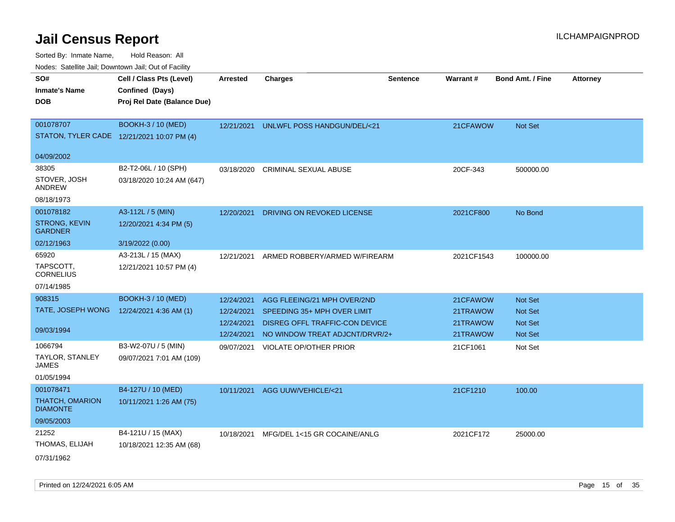| inodes: Satellite Jali, Downtown Jali, Out of Facility |                             |                 |                                       |                 |                 |                         |                 |
|--------------------------------------------------------|-----------------------------|-----------------|---------------------------------------|-----------------|-----------------|-------------------------|-----------------|
| SO#                                                    | Cell / Class Pts (Level)    | <b>Arrested</b> | <b>Charges</b>                        | <b>Sentence</b> | <b>Warrant#</b> | <b>Bond Amt. / Fine</b> | <b>Attorney</b> |
| <b>Inmate's Name</b>                                   | Confined (Days)             |                 |                                       |                 |                 |                         |                 |
| <b>DOB</b>                                             | Proj Rel Date (Balance Due) |                 |                                       |                 |                 |                         |                 |
|                                                        |                             |                 |                                       |                 |                 |                         |                 |
| 001078707                                              | <b>BOOKH-3 / 10 (MED)</b>   | 12/21/2021      | UNLWFL POSS HANDGUN/DEL/<21           |                 | 21CFAWOW        | Not Set                 |                 |
| STATON, TYLER CADE 12/21/2021 10:07 PM (4)             |                             |                 |                                       |                 |                 |                         |                 |
| 04/09/2002                                             |                             |                 |                                       |                 |                 |                         |                 |
| 38305                                                  | B2-T2-06L / 10 (SPH)        | 03/18/2020      | <b>CRIMINAL SEXUAL ABUSE</b>          |                 | 20CF-343        | 500000.00               |                 |
| STOVER, JOSH<br>ANDREW                                 | 03/18/2020 10:24 AM (647)   |                 |                                       |                 |                 |                         |                 |
| 08/18/1973                                             |                             |                 |                                       |                 |                 |                         |                 |
| 001078182                                              | A3-112L / 5 (MIN)           | 12/20/2021      | DRIVING ON REVOKED LICENSE            |                 | 2021CF800       | No Bond                 |                 |
| <b>STRONG, KEVIN</b><br><b>GARDNER</b>                 | 12/20/2021 4:34 PM (5)      |                 |                                       |                 |                 |                         |                 |
| 02/12/1963                                             | 3/19/2022 (0.00)            |                 |                                       |                 |                 |                         |                 |
| 65920                                                  | A3-213L / 15 (MAX)          | 12/21/2021      | ARMED ROBBERY/ARMED W/FIREARM         |                 | 2021CF1543      | 100000.00               |                 |
| TAPSCOTT.<br>CORNELIUS                                 | 12/21/2021 10:57 PM (4)     |                 |                                       |                 |                 |                         |                 |
| 07/14/1985                                             |                             |                 |                                       |                 |                 |                         |                 |
| 908315                                                 | <b>BOOKH-3 / 10 (MED)</b>   | 12/24/2021      | AGG FLEEING/21 MPH OVER/2ND           |                 | 21CFAWOW        | <b>Not Set</b>          |                 |
| TATE, JOSEPH WONG                                      | 12/24/2021 4:36 AM (1)      | 12/24/2021      | SPEEDING 35+ MPH OVER LIMIT           |                 | 21TRAWOW        | <b>Not Set</b>          |                 |
|                                                        |                             | 12/24/2021      | <b>DISREG OFFL TRAFFIC-CON DEVICE</b> |                 | 21TRAWOW        | Not Set                 |                 |
| 09/03/1994                                             |                             | 12/24/2021      | NO WINDOW TREAT ADJCNT/DRVR/2+        |                 | 21TRAWOW        | <b>Not Set</b>          |                 |
| 1066794                                                | B3-W2-07U / 5 (MIN)         | 09/07/2021      | <b>VIOLATE OP/OTHER PRIOR</b>         |                 | 21CF1061        | Not Set                 |                 |
| TAYLOR, STANLEY<br>JAMES                               | 09/07/2021 7:01 AM (109)    |                 |                                       |                 |                 |                         |                 |
| 01/05/1994                                             |                             |                 |                                       |                 |                 |                         |                 |
| 001078471                                              | B4-127U / 10 (MED)          | 10/11/2021      | AGG UUW/VEHICLE/<21                   |                 | 21CF1210        | 100.00                  |                 |
| <b>THATCH, OMARION</b><br><b>DIAMONTE</b>              | 10/11/2021 1:26 AM (75)     |                 |                                       |                 |                 |                         |                 |
| 09/05/2003                                             |                             |                 |                                       |                 |                 |                         |                 |
| 21252                                                  | B4-121U / 15 (MAX)          | 10/18/2021      | MFG/DEL 1<15 GR COCAINE/ANLG          |                 | 2021CF172       | 25000.00                |                 |
| THOMAS, ELIJAH                                         | 10/18/2021 12:35 AM (68)    |                 |                                       |                 |                 |                         |                 |
| 07/31/1962                                             |                             |                 |                                       |                 |                 |                         |                 |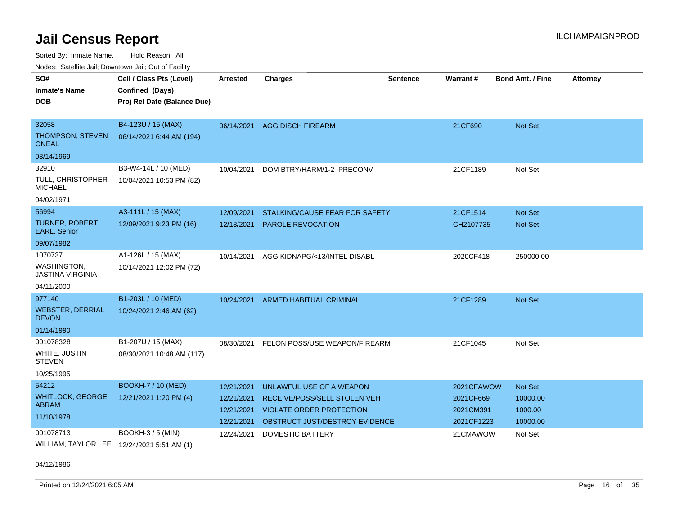Sorted By: Inmate Name, Hold Reason: All Nodes: Satellite Jail; Downtown Jail; Out of Facility

| i vuuto. Talelille Jall, Duwilluwii Jall, Out of Facility |                             |                 |                                 |                 |            |                         |                 |
|-----------------------------------------------------------|-----------------------------|-----------------|---------------------------------|-----------------|------------|-------------------------|-----------------|
| SO#                                                       | Cell / Class Pts (Level)    | <b>Arrested</b> | <b>Charges</b>                  | <b>Sentence</b> | Warrant#   | <b>Bond Amt. / Fine</b> | <b>Attorney</b> |
| <b>Inmate's Name</b>                                      | Confined (Days)             |                 |                                 |                 |            |                         |                 |
| <b>DOB</b>                                                | Proj Rel Date (Balance Due) |                 |                                 |                 |            |                         |                 |
|                                                           |                             |                 |                                 |                 |            |                         |                 |
| 32058                                                     | B4-123U / 15 (MAX)          | 06/14/2021      | <b>AGG DISCH FIREARM</b>        |                 | 21CF690    | Not Set                 |                 |
| THOMPSON, STEVEN<br>ONEAL                                 | 06/14/2021 6:44 AM (194)    |                 |                                 |                 |            |                         |                 |
| 03/14/1969                                                |                             |                 |                                 |                 |            |                         |                 |
| 32910                                                     | B3-W4-14L / 10 (MED)        | 10/04/2021      | DOM BTRY/HARM/1-2 PRECONV       |                 | 21CF1189   | Not Set                 |                 |
| TULL, CHRISTOPHER<br><b>MICHAEL</b>                       | 10/04/2021 10:53 PM (82)    |                 |                                 |                 |            |                         |                 |
| 04/02/1971                                                |                             |                 |                                 |                 |            |                         |                 |
| 56994                                                     | A3-111L / 15 (MAX)          | 12/09/2021      | STALKING/CAUSE FEAR FOR SAFETY  |                 | 21CF1514   | <b>Not Set</b>          |                 |
| <b>TURNER, ROBERT</b><br>EARL, Senior                     | 12/09/2021 9:23 PM (16)     | 12/13/2021      | PAROLE REVOCATION               |                 | CH2107735  | Not Set                 |                 |
| 09/07/1982                                                |                             |                 |                                 |                 |            |                         |                 |
| 1070737                                                   | A1-126L / 15 (MAX)          | 10/14/2021      | AGG KIDNAPG/<13/INTEL DISABL    |                 | 2020CF418  | 250000.00               |                 |
| WASHINGTON,<br><b>JASTINA VIRGINIA</b>                    | 10/14/2021 12:02 PM (72)    |                 |                                 |                 |            |                         |                 |
| 04/11/2000                                                |                             |                 |                                 |                 |            |                         |                 |
| 977140                                                    | B1-203L / 10 (MED)          | 10/24/2021      | ARMED HABITUAL CRIMINAL         |                 | 21CF1289   | Not Set                 |                 |
| <b>WEBSTER, DERRIAL</b><br><b>DEVON</b>                   | 10/24/2021 2:46 AM (62)     |                 |                                 |                 |            |                         |                 |
| 01/14/1990                                                |                             |                 |                                 |                 |            |                         |                 |
| 001078328                                                 | B1-207U / 15 (MAX)          | 08/30/2021      | FELON POSS/USE WEAPON/FIREARM   |                 | 21CF1045   | Not Set                 |                 |
| WHITE, JUSTIN<br><b>STEVEN</b>                            | 08/30/2021 10:48 AM (117)   |                 |                                 |                 |            |                         |                 |
| 10/25/1995                                                |                             |                 |                                 |                 |            |                         |                 |
| 54212                                                     | <b>BOOKH-7 / 10 (MED)</b>   | 12/21/2021      | UNLAWFUL USE OF A WEAPON        |                 | 2021CFAWOW | Not Set                 |                 |
| <b>WHITLOCK, GEORGE</b>                                   | 12/21/2021 1:20 PM (4)      | 12/21/2021      | RECEIVE/POSS/SELL STOLEN VEH    |                 | 2021CF669  | 10000.00                |                 |
| <b>ABRAM</b>                                              |                             | 12/21/2021      | <b>VIOLATE ORDER PROTECTION</b> |                 | 2021CM391  | 1000.00                 |                 |
| 11/10/1978                                                |                             | 12/21/2021      | OBSTRUCT JUST/DESTROY EVIDENCE  |                 | 2021CF1223 | 10000.00                |                 |
| 001078713                                                 | <b>BOOKH-3 / 5 (MIN)</b>    | 12/24/2021      | <b>DOMESTIC BATTERY</b>         |                 | 21CMAWOW   | Not Set                 |                 |
| WILLIAM, TAYLOR LEE 12/24/2021 5:51 AM (1)                |                             |                 |                                 |                 |            |                         |                 |

04/12/1986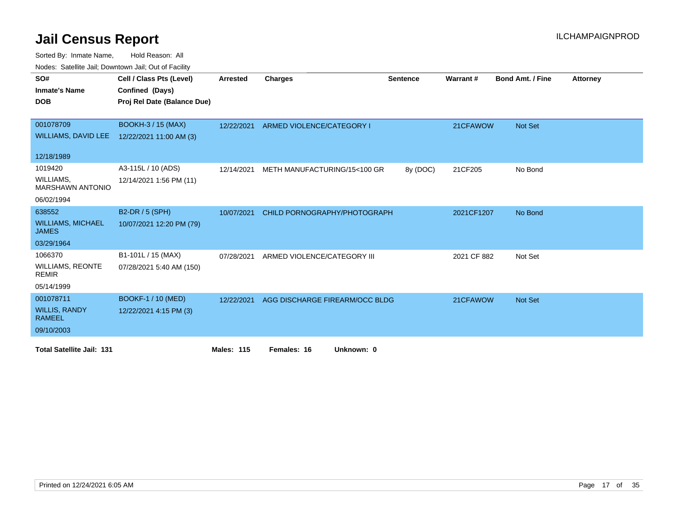| vouco. Catolino call, Downtown call, Out of Fability |                             |                   |                                |                 |             |                         |                 |
|------------------------------------------------------|-----------------------------|-------------------|--------------------------------|-----------------|-------------|-------------------------|-----------------|
| SO#                                                  | Cell / Class Pts (Level)    | <b>Arrested</b>   | <b>Charges</b>                 | <b>Sentence</b> | Warrant#    | <b>Bond Amt. / Fine</b> | <b>Attorney</b> |
| <b>Inmate's Name</b>                                 | Confined (Days)             |                   |                                |                 |             |                         |                 |
| <b>DOB</b>                                           | Proj Rel Date (Balance Due) |                   |                                |                 |             |                         |                 |
|                                                      |                             |                   |                                |                 |             |                         |                 |
| 001078709                                            | <b>BOOKH-3 / 15 (MAX)</b>   | 12/22/2021        | ARMED VIOLENCE/CATEGORY I      |                 | 21CFAWOW    | Not Set                 |                 |
| <b>WILLIAMS, DAVID LEE</b>                           | 12/22/2021 11:00 AM (3)     |                   |                                |                 |             |                         |                 |
|                                                      |                             |                   |                                |                 |             |                         |                 |
| 12/18/1989                                           |                             |                   |                                |                 |             |                         |                 |
| 1019420                                              | A3-115L / 10 (ADS)          | 12/14/2021        | METH MANUFACTURING/15<100 GR   | 8y (DOC)        | 21CF205     | No Bond                 |                 |
| WILLIAMS,<br><b>MARSHAWN ANTONIO</b>                 | 12/14/2021 1:56 PM (11)     |                   |                                |                 |             |                         |                 |
| 06/02/1994                                           |                             |                   |                                |                 |             |                         |                 |
| 638552                                               | B2-DR / 5 (SPH)             | 10/07/2021        | CHILD PORNOGRAPHY/PHOTOGRAPH   |                 | 2021CF1207  | No Bond                 |                 |
| <b>WILLIAMS, MICHAEL</b><br><b>JAMES</b>             | 10/07/2021 12:20 PM (79)    |                   |                                |                 |             |                         |                 |
| 03/29/1964                                           |                             |                   |                                |                 |             |                         |                 |
| 1066370                                              | B1-101L / 15 (MAX)          | 07/28/2021        | ARMED VIOLENCE/CATEGORY III    |                 | 2021 CF 882 | Not Set                 |                 |
| <b>WILLIAMS, REONTE</b><br><b>REMIR</b>              | 07/28/2021 5:40 AM (150)    |                   |                                |                 |             |                         |                 |
| 05/14/1999                                           |                             |                   |                                |                 |             |                         |                 |
| 001078711                                            | BOOKF-1 / 10 (MED)          | 12/22/2021        | AGG DISCHARGE FIREARM/OCC BLDG |                 | 21CFAWOW    | Not Set                 |                 |
| <b>WILLIS, RANDY</b><br><b>RAMEEL</b>                | 12/22/2021 4:15 PM (3)      |                   |                                |                 |             |                         |                 |
| 09/10/2003                                           |                             |                   |                                |                 |             |                         |                 |
| <b>Total Satellite Jail: 131</b>                     |                             | <b>Males: 115</b> | Females: 16<br>Unknown: 0      |                 |             |                         |                 |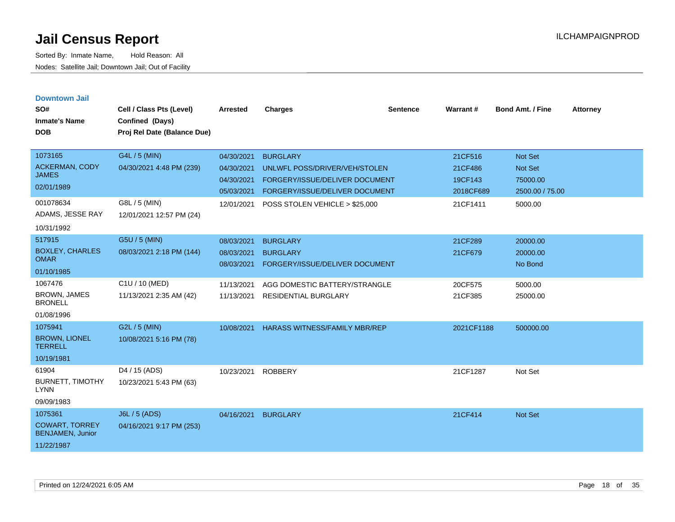| <b>Downtown Jail</b><br>SO#<br><b>Inmate's Name</b><br><b>DOB</b>                               | Cell / Class Pts (Level)<br>Confined (Days)<br>Proj Rel Date (Balance Due)             | <b>Arrested</b>                                                    | <b>Charges</b>                                                                                                                                         | <b>Sentence</b> | Warrant#                                               | <b>Bond Amt. / Fine</b>                                             | <b>Attorney</b> |
|-------------------------------------------------------------------------------------------------|----------------------------------------------------------------------------------------|--------------------------------------------------------------------|--------------------------------------------------------------------------------------------------------------------------------------------------------|-----------------|--------------------------------------------------------|---------------------------------------------------------------------|-----------------|
| 1073165<br><b>ACKERMAN, CODY</b><br><b>JAMES</b><br>02/01/1989<br>001078634<br>ADAMS, JESSE RAY | G4L / 5 (MIN)<br>04/30/2021 4:48 PM (239)<br>G8L / 5 (MIN)<br>12/01/2021 12:57 PM (24) | 04/30/2021<br>04/30/2021<br>04/30/2021<br>05/03/2021<br>12/01/2021 | <b>BURGLARY</b><br>UNLWFL POSS/DRIVER/VEH/STOLEN<br>FORGERY/ISSUE/DELIVER DOCUMENT<br>FORGERY/ISSUE/DELIVER DOCUMENT<br>POSS STOLEN VEHICLE > \$25,000 |                 | 21CF516<br>21CF486<br>19CF143<br>2018CF689<br>21CF1411 | <b>Not Set</b><br>Not Set<br>75000.00<br>2500.00 / 75.00<br>5000.00 |                 |
| 10/31/1992<br>517915<br><b>BOXLEY, CHARLES</b><br><b>OMAR</b><br>01/10/1985                     | G5U / 5 (MIN)<br>08/03/2021 2:18 PM (144)                                              | 08/03/2021<br>08/03/2021<br>08/03/2021                             | <b>BURGLARY</b><br><b>BURGLARY</b><br><b>FORGERY/ISSUE/DELIVER DOCUMENT</b>                                                                            |                 | 21CF289<br>21CF679                                     | 20000.00<br>20000.00<br>No Bond                                     |                 |
| 1067476<br><b>BROWN, JAMES</b><br><b>BRONELL</b><br>01/08/1996                                  | C1U / 10 (MED)<br>11/13/2021 2:35 AM (42)                                              | 11/13/2021<br>11/13/2021                                           | AGG DOMESTIC BATTERY/STRANGLE<br><b>RESIDENTIAL BURGLARY</b>                                                                                           |                 | 20CF575<br>21CF385                                     | 5000.00<br>25000.00                                                 |                 |
| 1075941<br><b>BROWN, LIONEL</b><br><b>TERRELL</b><br>10/19/1981                                 | G2L / 5 (MIN)<br>10/08/2021 5:16 PM (78)                                               | 10/08/2021                                                         | <b>HARASS WITNESS/FAMILY MBR/REP</b>                                                                                                                   |                 | 2021CF1188                                             | 500000.00                                                           |                 |
| 61904<br><b>BURNETT, TIMOTHY</b><br><b>LYNN</b><br>09/09/1983                                   | D <sub>4</sub> / 15 (ADS)<br>10/23/2021 5:43 PM (63)                                   | 10/23/2021                                                         | <b>ROBBERY</b>                                                                                                                                         |                 | 21CF1287                                               | Not Set                                                             |                 |
| 1075361<br><b>COWART, TORREY</b><br><b>BENJAMEN, Junior</b><br>11/22/1987                       | <b>J6L / 5 (ADS)</b><br>04/16/2021 9:17 PM (253)                                       | 04/16/2021                                                         | <b>BURGLARY</b>                                                                                                                                        |                 | 21CF414                                                | Not Set                                                             |                 |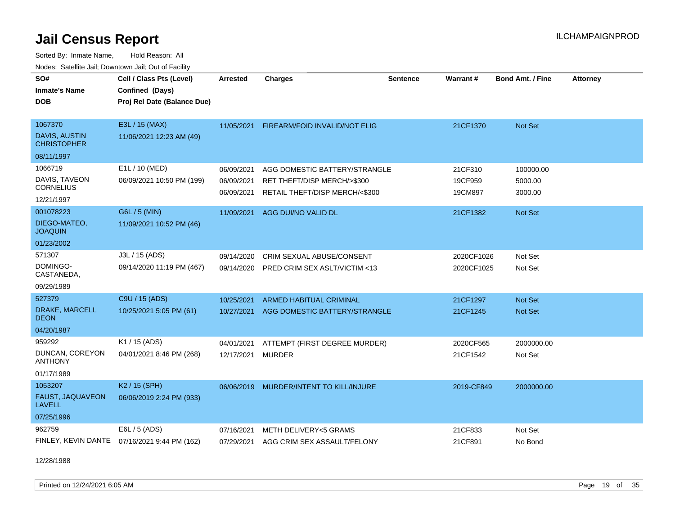Sorted By: Inmate Name, Hold Reason: All Nodes: Satellite Jail; Downtown Jail; Out of Facility

| SO#<br><b>Inmate's Name</b><br><b>DOB</b>                  | Cell / Class Pts (Level)<br>Confined (Days)<br>Proj Rel Date (Balance Due) | <b>Arrested</b>                        | <b>Charges</b>                                                                                 | <b>Sentence</b> | Warrant#                      | <b>Bond Amt. / Fine</b>         | <b>Attorney</b> |
|------------------------------------------------------------|----------------------------------------------------------------------------|----------------------------------------|------------------------------------------------------------------------------------------------|-----------------|-------------------------------|---------------------------------|-----------------|
| 1067370<br>DAVIS, AUSTIN<br><b>CHRISTOPHER</b>             | E3L / 15 (MAX)<br>11/06/2021 12:23 AM (49)                                 | 11/05/2021                             | FIREARM/FOID INVALID/NOT ELIG                                                                  |                 | 21CF1370                      | Not Set                         |                 |
| 08/11/1997                                                 |                                                                            |                                        |                                                                                                |                 |                               |                                 |                 |
| 1066719<br>DAVIS, TAVEON<br><b>CORNELIUS</b><br>12/21/1997 | E1L / 10 (MED)<br>06/09/2021 10:50 PM (199)                                | 06/09/2021<br>06/09/2021<br>06/09/2021 | AGG DOMESTIC BATTERY/STRANGLE<br>RET THEFT/DISP MERCH/>\$300<br>RETAIL THEFT/DISP MERCH/<\$300 |                 | 21CF310<br>19CF959<br>19CM897 | 100000.00<br>5000.00<br>3000.00 |                 |
| 001078223<br>DIEGO-MATEO,<br><b>JOAQUIN</b><br>01/23/2002  | G6L / 5 (MIN)<br>11/09/2021 10:52 PM (46)                                  | 11/09/2021                             | AGG DUI/NO VALID DL                                                                            |                 | 21CF1382                      | Not Set                         |                 |
| 571307<br>DOMINGO-<br>CASTANEDA,<br>09/29/1989             | J3L / 15 (ADS)<br>09/14/2020 11:19 PM (467)                                | 09/14/2020<br>09/14/2020               | <b>CRIM SEXUAL ABUSE/CONSENT</b><br>PRED CRIM SEX ASLT/VICTIM <13                              |                 | 2020CF1026<br>2020CF1025      | Not Set<br>Not Set              |                 |
| 527379<br>DRAKE, MARCELL<br>DEON<br>04/20/1987             | C9U / 15 (ADS)<br>10/25/2021 5:05 PM (61)                                  | 10/25/2021<br>10/27/2021               | <b>ARMED HABITUAL CRIMINAL</b><br>AGG DOMESTIC BATTERY/STRANGLE                                |                 | 21CF1297<br>21CF1245          | Not Set<br><b>Not Set</b>       |                 |
| 959292<br>DUNCAN, COREYON<br><b>ANTHONY</b><br>01/17/1989  | K1 / 15 (ADS)<br>04/01/2021 8:46 PM (268)                                  | 04/01/2021<br>12/17/2021               | ATTEMPT (FIRST DEGREE MURDER)<br><b>MURDER</b>                                                 |                 | 2020CF565<br>21CF1542         | 2000000.00<br>Not Set           |                 |
| 1053207<br>FAUST, JAQUAVEON<br><b>LAVELL</b><br>07/25/1996 | K2 / 15 (SPH)<br>06/06/2019 2:24 PM (933)                                  | 06/06/2019                             | MURDER/INTENT TO KILL/INJURE                                                                   |                 | 2019-CF849                    | 2000000.00                      |                 |
| 962759                                                     | E6L / 5 (ADS)<br>FINLEY, KEVIN DANTE 07/16/2021 9:44 PM (162)              | 07/16/2021<br>07/29/2021               | METH DELIVERY<5 GRAMS<br>AGG CRIM SEX ASSAULT/FELONY                                           |                 | 21CF833<br>21CF891            | Not Set<br>No Bond              |                 |

12/28/1988

Printed on 12/24/2021 6:05 AM **Page 19 of 35**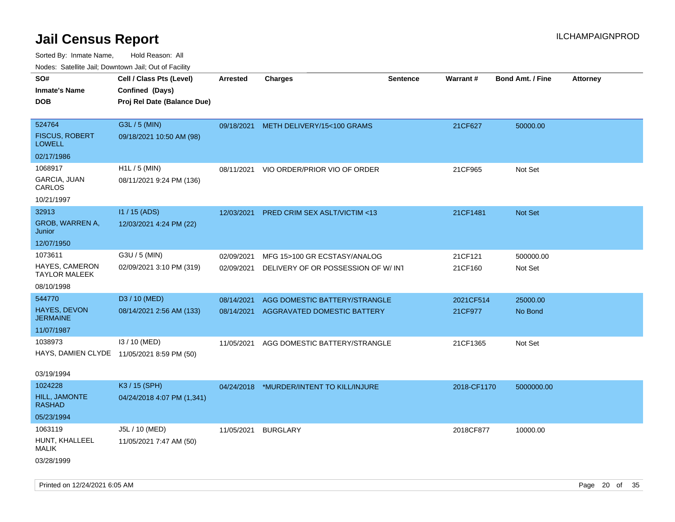Sorted By: Inmate Name, Hold Reason: All Nodes: Satellite Jail; Downtown Jail; Out of Facility

| Nudes. Satellite Jali, Downtown Jali, Out of Facility |                                            |            |                                       |                 |             |                         |                 |
|-------------------------------------------------------|--------------------------------------------|------------|---------------------------------------|-----------------|-------------|-------------------------|-----------------|
| SO#                                                   | Cell / Class Pts (Level)                   | Arrested   | <b>Charges</b>                        | <b>Sentence</b> | Warrant#    | <b>Bond Amt. / Fine</b> | <b>Attorney</b> |
| <b>Inmate's Name</b>                                  | Confined (Days)                            |            |                                       |                 |             |                         |                 |
| <b>DOB</b>                                            | Proj Rel Date (Balance Due)                |            |                                       |                 |             |                         |                 |
|                                                       |                                            |            |                                       |                 |             |                         |                 |
| 524764                                                | G3L / 5 (MIN)                              |            | 09/18/2021 METH DELIVERY/15<100 GRAMS |                 | 21CF627     | 50000.00                |                 |
| <b>FISCUS, ROBERT</b><br>LOWELL                       | 09/18/2021 10:50 AM (98)                   |            |                                       |                 |             |                         |                 |
| 02/17/1986                                            |                                            |            |                                       |                 |             |                         |                 |
| 1068917                                               | H1L / 5 (MIN)                              | 08/11/2021 | VIO ORDER/PRIOR VIO OF ORDER          |                 | 21CF965     | Not Set                 |                 |
| GARCIA, JUAN<br>CARLOS                                | 08/11/2021 9:24 PM (136)                   |            |                                       |                 |             |                         |                 |
| 10/21/1997                                            |                                            |            |                                       |                 |             |                         |                 |
| 32913                                                 | $11 / 15$ (ADS)                            | 12/03/2021 | PRED CRIM SEX ASLT/VICTIM <13         |                 | 21CF1481    | <b>Not Set</b>          |                 |
| GROB, WARREN A,<br>Junior                             | 12/03/2021 4:24 PM (22)                    |            |                                       |                 |             |                         |                 |
| 12/07/1950                                            |                                            |            |                                       |                 |             |                         |                 |
| 1073611                                               | G3U / 5 (MIN)                              | 02/09/2021 | MFG 15>100 GR ECSTASY/ANALOG          |                 | 21CF121     | 500000.00               |                 |
| <b>HAYES, CAMERON</b><br>TAYLOR MALEEK                | 02/09/2021 3:10 PM (319)                   | 02/09/2021 | DELIVERY OF OR POSSESSION OF W/INT    |                 | 21CF160     | Not Set                 |                 |
| 08/10/1998                                            |                                            |            |                                       |                 |             |                         |                 |
| 544770                                                | D3 / 10 (MED)                              | 08/14/2021 | AGG DOMESTIC BATTERY/STRANGLE         |                 | 2021CF514   | 25000.00                |                 |
| <b>HAYES, DEVON</b><br>JERMAINE                       | 08/14/2021 2:56 AM (133)                   | 08/14/2021 | AGGRAVATED DOMESTIC BATTERY           |                 | 21CF977     | No Bond                 |                 |
| 11/07/1987                                            |                                            |            |                                       |                 |             |                         |                 |
| 1038973                                               | I3 / 10 (MED)                              | 11/05/2021 | AGG DOMESTIC BATTERY/STRANGLE         |                 | 21CF1365    | Not Set                 |                 |
|                                                       | HAYS, DAMIEN CLYDE 11/05/2021 8:59 PM (50) |            |                                       |                 |             |                         |                 |
| 03/19/1994                                            |                                            |            |                                       |                 |             |                         |                 |
| 1024228                                               | K3 / 15 (SPH)                              | 04/24/2018 | *MURDER/INTENT TO KILL/INJURE         |                 | 2018-CF1170 | 5000000.00              |                 |
| <b>HILL, JAMONTE</b><br>RASHAD                        | 04/24/2018 4:07 PM (1,341)                 |            |                                       |                 |             |                         |                 |
| 05/23/1994                                            |                                            |            |                                       |                 |             |                         |                 |
| 1063119                                               | J5L / 10 (MED)                             | 11/05/2021 | <b>BURGLARY</b>                       |                 | 2018CF877   | 10000.00                |                 |
| HUNT, KHALLEEL<br>MALIK                               | 11/05/2021 7:47 AM (50)                    |            |                                       |                 |             |                         |                 |
| 03/28/1999                                            |                                            |            |                                       |                 |             |                         |                 |

Printed on 12/24/2021 6:05 AM **Page 20** of 35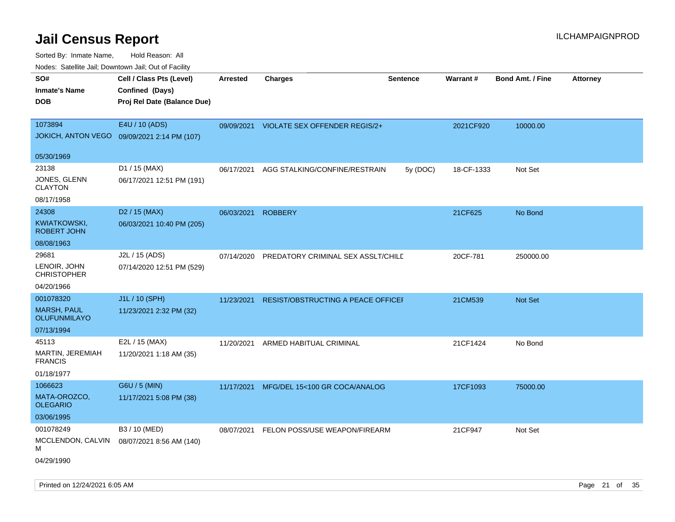Sorted By: Inmate Name, Hold Reason: All Nodes: Satellite Jail; Downtown Jail; Out of Facility

| ivouss. Satellite Jall, Downtown Jall, Out of Facility |                             |            |                                      |                 |            |                         |                 |
|--------------------------------------------------------|-----------------------------|------------|--------------------------------------|-----------------|------------|-------------------------|-----------------|
| SO#                                                    | Cell / Class Pts (Level)    | Arrested   | <b>Charges</b>                       | <b>Sentence</b> | Warrant#   | <b>Bond Amt. / Fine</b> | <b>Attorney</b> |
| <b>Inmate's Name</b>                                   | Confined (Days)             |            |                                      |                 |            |                         |                 |
| <b>DOB</b>                                             | Proj Rel Date (Balance Due) |            |                                      |                 |            |                         |                 |
|                                                        |                             |            |                                      |                 |            |                         |                 |
| 1073894                                                | E4U / 10 (ADS)              | 09/09/2021 | <b>VIOLATE SEX OFFENDER REGIS/2+</b> |                 | 2021CF920  | 10000.00                |                 |
| <b>JOKICH, ANTON VEGO</b>                              | 09/09/2021 2:14 PM (107)    |            |                                      |                 |            |                         |                 |
| 05/30/1969                                             |                             |            |                                      |                 |            |                         |                 |
| 23138                                                  | D1 / 15 (MAX)               | 06/17/2021 | AGG STALKING/CONFINE/RESTRAIN        | 5y (DOC)        | 18-CF-1333 | Not Set                 |                 |
| JONES, GLENN<br><b>CLAYTON</b>                         | 06/17/2021 12:51 PM (191)   |            |                                      |                 |            |                         |                 |
| 08/17/1958                                             |                             |            |                                      |                 |            |                         |                 |
| 24308                                                  | D <sub>2</sub> / 15 (MAX)   | 06/03/2021 | <b>ROBBERY</b>                       |                 | 21CF625    | No Bond                 |                 |
| KWIATKOWSKI,<br><b>ROBERT JOHN</b>                     | 06/03/2021 10:40 PM (205)   |            |                                      |                 |            |                         |                 |
| 08/08/1963                                             |                             |            |                                      |                 |            |                         |                 |
| 29681                                                  | J2L / 15 (ADS)              | 07/14/2020 | PREDATORY CRIMINAL SEX ASSLT/CHILD   |                 | 20CF-781   | 250000.00               |                 |
| LENOIR, JOHN<br><b>CHRISTOPHER</b>                     | 07/14/2020 12:51 PM (529)   |            |                                      |                 |            |                         |                 |
| 04/20/1966                                             |                             |            |                                      |                 |            |                         |                 |
| 001078320                                              | J1L / 10 (SPH)              | 11/23/2021 | RESIST/OBSTRUCTING A PEACE OFFICEI   |                 | 21CM539    | Not Set                 |                 |
| <b>MARSH, PAUL</b><br><b>OLUFUNMILAYO</b>              | 11/23/2021 2:32 PM (32)     |            |                                      |                 |            |                         |                 |
| 07/13/1994                                             |                             |            |                                      |                 |            |                         |                 |
| 45113                                                  | E2L / 15 (MAX)              | 11/20/2021 | ARMED HABITUAL CRIMINAL              |                 | 21CF1424   | No Bond                 |                 |
| MARTIN, JEREMIAH<br><b>FRANCIS</b>                     | 11/20/2021 1:18 AM (35)     |            |                                      |                 |            |                         |                 |
| 01/18/1977                                             |                             |            |                                      |                 |            |                         |                 |
| 1066623                                                | G6U / 5 (MIN)               | 11/17/2021 | MFG/DEL 15<100 GR COCA/ANALOG        |                 | 17CF1093   | 75000.00                |                 |
| MATA-OROZCO,<br><b>OLEGARIO</b>                        | 11/17/2021 5:08 PM (38)     |            |                                      |                 |            |                         |                 |
| 03/06/1995                                             |                             |            |                                      |                 |            |                         |                 |
| 001078249                                              | B3 / 10 (MED)               | 08/07/2021 | FELON POSS/USE WEAPON/FIREARM        |                 | 21CF947    | Not Set                 |                 |
| MCCLENDON, CALVIN<br>М                                 | 08/07/2021 8:56 AM (140)    |            |                                      |                 |            |                         |                 |
| 04/29/1990                                             |                             |            |                                      |                 |            |                         |                 |

Printed on 12/24/2021 6:05 AM **Page 21** of 35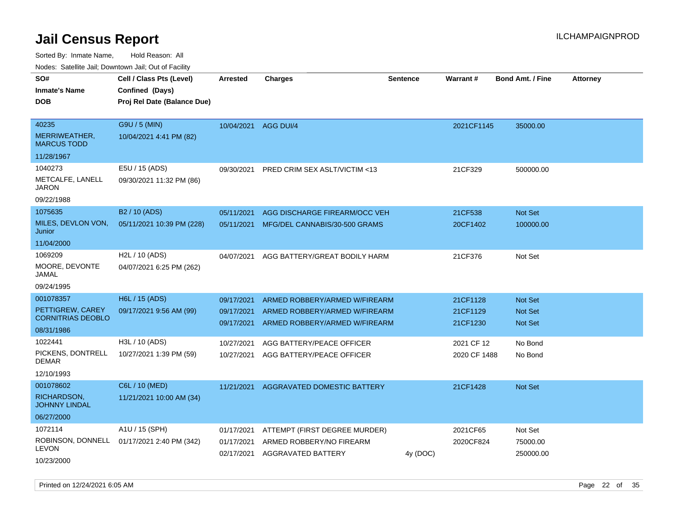Sorted By: Inmate Name, Hold Reason: All

Nodes: Satellite Jail; Downtown Jail; Out of Facility

| SO#                                          | Cell / Class Pts (Level)                                | <b>Arrested</b>          | <b>Charges</b>                                            | Sentence | Warrant#     | <b>Bond Amt. / Fine</b> | <b>Attorney</b> |
|----------------------------------------------|---------------------------------------------------------|--------------------------|-----------------------------------------------------------|----------|--------------|-------------------------|-----------------|
| <b>Inmate's Name</b>                         | Confined (Days)                                         |                          |                                                           |          |              |                         |                 |
| <b>DOB</b>                                   | Proj Rel Date (Balance Due)                             |                          |                                                           |          |              |                         |                 |
| 40235                                        | G9U / 5 (MIN)                                           | 10/04/2021               | <b>AGG DUI/4</b>                                          |          | 2021CF1145   | 35000.00                |                 |
| MERRIWEATHER,<br><b>MARCUS TODD</b>          | 10/04/2021 4:41 PM (82)                                 |                          |                                                           |          |              |                         |                 |
| 11/28/1967                                   |                                                         |                          |                                                           |          |              |                         |                 |
| 1040273                                      | E5U / 15 (ADS)                                          | 09/30/2021               | PRED CRIM SEX ASLT/VICTIM <13                             |          | 21CF329      | 500000.00               |                 |
| METCALFE, LANELL<br><b>JARON</b>             | 09/30/2021 11:32 PM (86)                                |                          |                                                           |          |              |                         |                 |
| 09/22/1988                                   |                                                         |                          |                                                           |          |              |                         |                 |
| 1075635                                      | B <sub>2</sub> / 10 (ADS)                               | 05/11/2021               | AGG DISCHARGE FIREARM/OCC VEH                             |          | 21CF538      | <b>Not Set</b>          |                 |
| MILES, DEVLON VON,<br>Junior                 | 05/11/2021 10:39 PM (228)                               | 05/11/2021               | MFG/DEL CANNABIS/30-500 GRAMS                             |          | 20CF1402     | 100000.00               |                 |
| 11/04/2000                                   |                                                         |                          |                                                           |          |              |                         |                 |
| 1069209<br>MOORE, DEVONTE<br>JAMAL           | H <sub>2</sub> L / 10 (ADS)<br>04/07/2021 6:25 PM (262) | 04/07/2021               | AGG BATTERY/GREAT BODILY HARM                             |          | 21CF376      | Not Set                 |                 |
| 09/24/1995                                   |                                                         |                          |                                                           |          |              |                         |                 |
| 001078357                                    | H6L / 15 (ADS)                                          | 09/17/2021               | ARMED ROBBERY/ARMED W/FIREARM                             |          | 21CF1128     | <b>Not Set</b>          |                 |
| PETTIGREW, CAREY<br><b>CORNITRIAS DEOBLO</b> | 09/17/2021 9:56 AM (99)                                 | 09/17/2021<br>09/17/2021 | ARMED ROBBERY/ARMED W/FIREARM                             |          | 21CF1129     | <b>Not Set</b>          |                 |
| 08/31/1986                                   |                                                         |                          | ARMED ROBBERY/ARMED W/FIREARM                             |          | 21CF1230     | <b>Not Set</b>          |                 |
| 1022441                                      | H3L / 10 (ADS)                                          | 10/27/2021               | AGG BATTERY/PEACE OFFICER                                 |          | 2021 CF 12   | No Bond                 |                 |
| PICKENS, DONTRELL<br><b>DEMAR</b>            | 10/27/2021 1:39 PM (59)                                 | 10/27/2021               | AGG BATTERY/PEACE OFFICER                                 |          | 2020 CF 1488 | No Bond                 |                 |
| 12/10/1993                                   |                                                         |                          |                                                           |          |              |                         |                 |
| 001078602                                    | C6L / 10 (MED)                                          | 11/21/2021               | <b>AGGRAVATED DOMESTIC BATTERY</b>                        |          | 21CF1428     | Not Set                 |                 |
| <b>RICHARDSON,</b><br><b>JOHNNY LINDAL</b>   | 11/21/2021 10:00 AM (34)                                |                          |                                                           |          |              |                         |                 |
| 06/27/2000                                   |                                                         |                          |                                                           |          |              |                         |                 |
| 1072114                                      | A1U / 15 (SPH)                                          | 01/17/2021               | ATTEMPT (FIRST DEGREE MURDER)                             |          | 2021CF65     | Not Set                 |                 |
| <b>LEVON</b>                                 | ROBINSON, DONNELL 01/17/2021 2:40 PM (342)              | 01/17/2021               | ARMED ROBBERY/NO FIREARM<br>02/17/2021 AGGRAVATED BATTERY | 4y (DOC) | 2020CF824    | 75000.00<br>250000.00   |                 |
| 10/23/2000                                   |                                                         |                          |                                                           |          |              |                         |                 |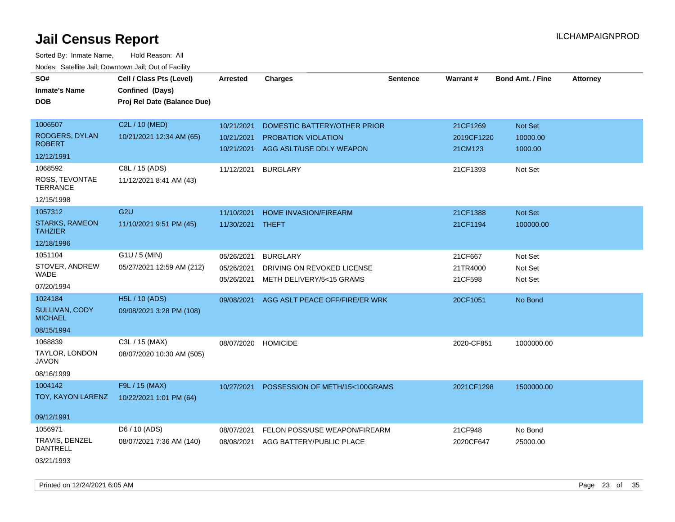| SO#<br><b>Inmate's Name</b><br>DOB      | Cell / Class Pts (Level)<br>Confined (Days)<br>Proj Rel Date (Balance Due) | <b>Arrested</b> | <b>Charges</b>                 | <b>Sentence</b> | Warrant#   | <b>Bond Amt. / Fine</b> | <b>Attorney</b> |
|-----------------------------------------|----------------------------------------------------------------------------|-----------------|--------------------------------|-----------------|------------|-------------------------|-----------------|
|                                         |                                                                            |                 |                                |                 |            |                         |                 |
| 1006507                                 | C2L / 10 (MED)                                                             | 10/21/2021      | DOMESTIC BATTERY/OTHER PRIOR   |                 | 21CF1269   | Not Set                 |                 |
| RODGERS, DYLAN<br><b>ROBERT</b>         | 10/21/2021 12:34 AM (65)                                                   | 10/21/2021      | PROBATION VIOLATION            |                 | 2019CF1220 | 10000.00                |                 |
| 12/12/1991                              |                                                                            | 10/21/2021      | AGG ASLT/USE DDLY WEAPON       |                 | 21CM123    | 1000.00                 |                 |
|                                         |                                                                            |                 |                                |                 |            |                         |                 |
| 1068592                                 | C8L / 15 (ADS)                                                             | 11/12/2021      | <b>BURGLARY</b>                |                 | 21CF1393   | Not Set                 |                 |
| ROSS, TEVONTAE<br><b>TERRANCE</b>       | 11/12/2021 8:41 AM (43)                                                    |                 |                                |                 |            |                         |                 |
| 12/15/1998                              |                                                                            |                 |                                |                 |            |                         |                 |
| 1057312                                 | G <sub>2U</sub>                                                            | 11/10/2021      | HOME INVASION/FIREARM          |                 | 21CF1388   | Not Set                 |                 |
| <b>STARKS, RAMEON</b><br><b>TAHZIER</b> | 11/10/2021 9:51 PM (45)                                                    | 11/30/2021      | THEFT                          |                 | 21CF1194   | 100000.00               |                 |
| 12/18/1996                              |                                                                            |                 |                                |                 |            |                         |                 |
| 1051104                                 | $G1U / 5$ (MIN)                                                            | 05/26/2021      | <b>BURGLARY</b>                |                 | 21CF667    | Not Set                 |                 |
| STOVER, ANDREW                          | 05/27/2021 12:59 AM (212)                                                  | 05/26/2021      | DRIVING ON REVOKED LICENSE     |                 | 21TR4000   | Not Set                 |                 |
| WADE                                    |                                                                            | 05/26/2021      | METH DELIVERY/5<15 GRAMS       |                 | 21CF598    | Not Set                 |                 |
| 07/20/1994                              |                                                                            |                 |                                |                 |            |                         |                 |
| 1024184                                 | <b>H5L / 10 (ADS)</b>                                                      | 09/08/2021      | AGG ASLT PEACE OFF/FIRE/ER WRK |                 | 20CF1051   | No Bond                 |                 |
| <b>SULLIVAN, CODY</b><br><b>MICHAEL</b> | 09/08/2021 3:28 PM (108)                                                   |                 |                                |                 |            |                         |                 |
| 08/15/1994                              |                                                                            |                 |                                |                 |            |                         |                 |
| 1068839                                 | C3L / 15 (MAX)                                                             | 08/07/2020      | <b>HOMICIDE</b>                |                 | 2020-CF851 | 1000000.00              |                 |
| TAYLOR, LONDON<br>JAVON                 | 08/07/2020 10:30 AM (505)                                                  |                 |                                |                 |            |                         |                 |
| 08/16/1999                              |                                                                            |                 |                                |                 |            |                         |                 |
| 1004142                                 | F9L / 15 (MAX)                                                             | 10/27/2021      | POSSESSION OF METH/15<100GRAMS |                 | 2021CF1298 | 1500000.00              |                 |
| TOY, KAYON LARENZ                       | 10/22/2021 1:01 PM (64)                                                    |                 |                                |                 |            |                         |                 |
| 09/12/1991                              |                                                                            |                 |                                |                 |            |                         |                 |
| 1056971                                 | D6 / 10 (ADS)                                                              | 08/07/2021      | FELON POSS/USE WEAPON/FIREARM  |                 | 21CF948    | No Bond                 |                 |
| TRAVIS, DENZEL<br>DANTRELL              | 08/07/2021 7:36 AM (140)                                                   | 08/08/2021      | AGG BATTERY/PUBLIC PLACE       |                 | 2020CF647  | 25000.00                |                 |
| 03/21/1993                              |                                                                            |                 |                                |                 |            |                         |                 |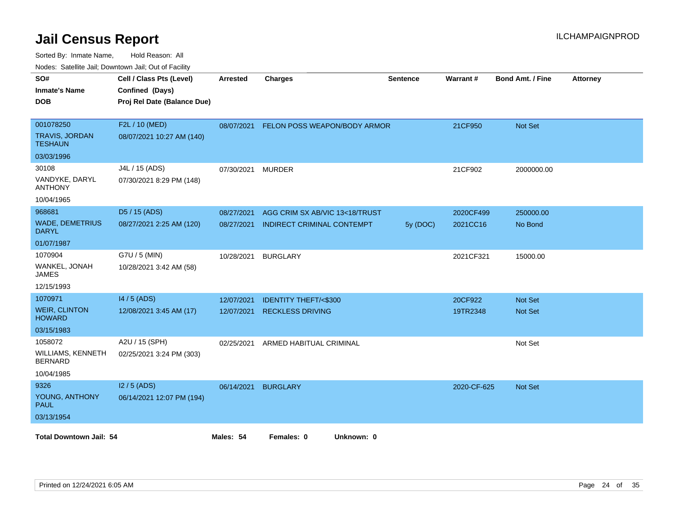| SO#<br><b>Inmate's Name</b><br><b>DOB</b>     | Cell / Class Pts (Level)<br>Confined (Days)<br>Proj Rel Date (Balance Due) | <b>Arrested</b> | <b>Charges</b>                  | <b>Sentence</b> | Warrant#    | <b>Bond Amt. / Fine</b> | <b>Attorney</b> |
|-----------------------------------------------|----------------------------------------------------------------------------|-----------------|---------------------------------|-----------------|-------------|-------------------------|-----------------|
| 001078250<br><b>TRAVIS, JORDAN</b><br>TESHAUN | F2L / 10 (MED)<br>08/07/2021 10:27 AM (140)                                | 08/07/2021      | FELON POSS WEAPON/BODY ARMOR    |                 | 21CF950     | <b>Not Set</b>          |                 |
| 03/03/1996                                    |                                                                            |                 |                                 |                 |             |                         |                 |
| 30108                                         | J4L / 15 (ADS)                                                             | 07/30/2021      | <b>MURDER</b>                   |                 | 21CF902     | 2000000.00              |                 |
| VANDYKE, DARYL<br><b>ANTHONY</b>              | 07/30/2021 8:29 PM (148)                                                   |                 |                                 |                 |             |                         |                 |
| 10/04/1965                                    |                                                                            |                 |                                 |                 |             |                         |                 |
| 968681                                        | D5 / 15 (ADS)                                                              | 08/27/2021      | AGG CRIM SX AB/VIC 13<18/TRUST  |                 | 2020CF499   | 250000.00               |                 |
| <b>WADE, DEMETRIUS</b><br><b>DARYL</b>        | 08/27/2021 2:25 AM (120)                                                   | 08/27/2021      | INDIRECT CRIMINAL CONTEMPT      | 5y (DOC)        | 2021CC16    | No Bond                 |                 |
| 01/07/1987                                    |                                                                            |                 |                                 |                 |             |                         |                 |
| 1070904                                       | G7U / 5 (MIN)                                                              | 10/28/2021      | <b>BURGLARY</b>                 |                 | 2021CF321   | 15000.00                |                 |
| WANKEL, JONAH<br>JAMES                        | 10/28/2021 3:42 AM (58)                                                    |                 |                                 |                 |             |                         |                 |
| 12/15/1993                                    |                                                                            |                 |                                 |                 |             |                         |                 |
| 1070971                                       | 14 / 5 (ADS)                                                               | 12/07/2021      | <b>IDENTITY THEFT/&lt;\$300</b> |                 | 20CF922     | <b>Not Set</b>          |                 |
| <b>WEIR, CLINTON</b><br><b>HOWARD</b>         | 12/08/2021 3:45 AM (17)                                                    | 12/07/2021      | <b>RECKLESS DRIVING</b>         |                 | 19TR2348    | Not Set                 |                 |
| 03/15/1983                                    |                                                                            |                 |                                 |                 |             |                         |                 |
| 1058072                                       | A2U / 15 (SPH)                                                             | 02/25/2021      | ARMED HABITUAL CRIMINAL         |                 |             | Not Set                 |                 |
| WILLIAMS, KENNETH<br><b>BERNARD</b>           | 02/25/2021 3:24 PM (303)                                                   |                 |                                 |                 |             |                         |                 |
| 10/04/1985                                    |                                                                            |                 |                                 |                 |             |                         |                 |
| 9326                                          | $12/5$ (ADS)                                                               | 06/14/2021      | <b>BURGLARY</b>                 |                 | 2020-CF-625 | <b>Not Set</b>          |                 |
| YOUNG, ANTHONY<br><b>PAUL</b>                 | 06/14/2021 12:07 PM (194)                                                  |                 |                                 |                 |             |                         |                 |
| 03/13/1954                                    |                                                                            |                 |                                 |                 |             |                         |                 |
| <b>Total Downtown Jail: 54</b>                |                                                                            | Males: 54       | Females: 0<br>Unknown: 0        |                 |             |                         |                 |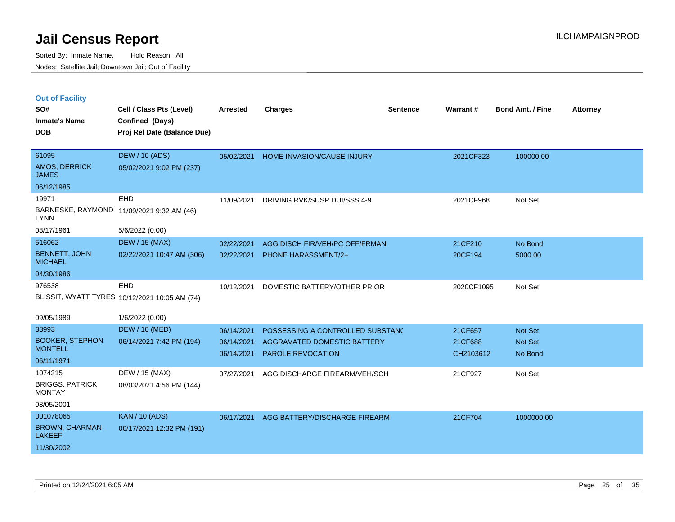| <b>Out of Facility</b> |  |  |
|------------------------|--|--|
|                        |  |  |

| SO#<br><b>Inmate's Name</b><br><b>DOB</b>                                     | Cell / Class Pts (Level)<br>Confined (Days)<br>Proj Rel Date (Balance Due) | <b>Arrested</b>                        | <b>Charges</b>                                                                              | <b>Sentence</b> | <b>Warrant#</b>                 | Bond Amt. / Fine              | <b>Attorney</b> |
|-------------------------------------------------------------------------------|----------------------------------------------------------------------------|----------------------------------------|---------------------------------------------------------------------------------------------|-----------------|---------------------------------|-------------------------------|-----------------|
| 61095<br>AMOS, DERRICK<br><b>JAMES</b>                                        | <b>DEW / 10 (ADS)</b><br>05/02/2021 9:02 PM (237)                          | 05/02/2021                             | HOME INVASION/CAUSE INJURY                                                                  |                 | 2021CF323                       | 100000.00                     |                 |
| 06/12/1985<br>19971<br><b>LYNN</b><br>08/17/1961                              | EHD<br>BARNESKE, RAYMOND 11/09/2021 9:32 AM (46)<br>5/6/2022 (0.00)        | 11/09/2021                             | DRIVING RVK/SUSP DUI/SSS 4-9                                                                |                 | 2021CF968                       | Not Set                       |                 |
| 516062<br><b>BENNETT, JOHN</b><br><b>MICHAEL</b><br>04/30/1986                | <b>DEW / 15 (MAX)</b><br>02/22/2021 10:47 AM (306)                         | 02/22/2021<br>02/22/2021               | AGG DISCH FIR/VEH/PC OFF/FRMAN<br><b>PHONE HARASSMENT/2+</b>                                |                 | 21CF210<br>20CF194              | No Bond<br>5000.00            |                 |
| 976538                                                                        | EHD<br>BLISSIT, WYATT TYRES 10/12/2021 10:05 AM (74)                       | 10/12/2021                             | DOMESTIC BATTERY/OTHER PRIOR                                                                |                 | 2020CF1095                      | Not Set                       |                 |
| 09/05/1989<br>33993<br><b>BOOKER, STEPHON</b><br><b>MONTELL</b><br>06/11/1971 | 1/6/2022 (0.00)<br><b>DEW / 10 (MED)</b><br>06/14/2021 7:42 PM (194)       | 06/14/2021<br>06/14/2021<br>06/14/2021 | POSSESSING A CONTROLLED SUBSTANC<br>AGGRAVATED DOMESTIC BATTERY<br><b>PAROLE REVOCATION</b> |                 | 21CF657<br>21CF688<br>CH2103612 | Not Set<br>Not Set<br>No Bond |                 |
| 1074315<br><b>BRIGGS, PATRICK</b><br><b>MONTAY</b><br>08/05/2001              | DEW / 15 (MAX)<br>08/03/2021 4:56 PM (144)                                 | 07/27/2021                             | AGG DISCHARGE FIREARM/VEH/SCH                                                               |                 | 21CF927                         | Not Set                       |                 |
| 001078065<br><b>BROWN, CHARMAN</b><br><b>LAKEEF</b><br>11/30/2002             | <b>KAN / 10 (ADS)</b><br>06/17/2021 12:32 PM (191)                         | 06/17/2021                             | AGG BATTERY/DISCHARGE FIREARM                                                               |                 | 21CF704                         | 1000000.00                    |                 |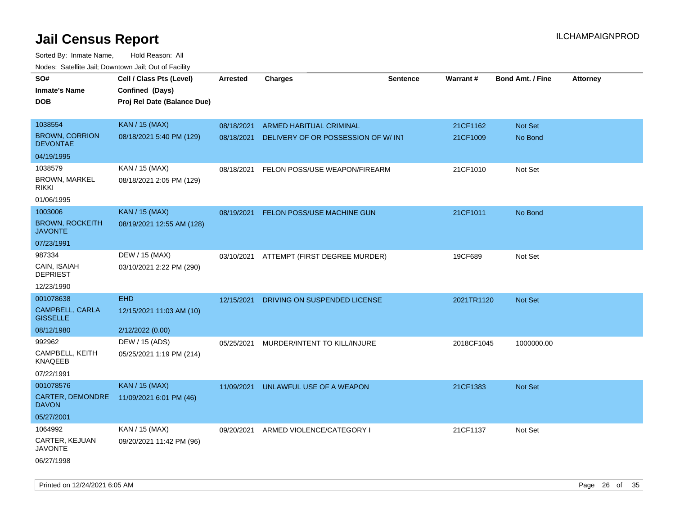| roaco. Catolino dall, Downtown dall, Out of Fability |                             |                 |                                     |                 |                 |                         |                 |
|------------------------------------------------------|-----------------------------|-----------------|-------------------------------------|-----------------|-----------------|-------------------------|-----------------|
| SO#                                                  | Cell / Class Pts (Level)    | <b>Arrested</b> | <b>Charges</b>                      | <b>Sentence</b> | <b>Warrant#</b> | <b>Bond Amt. / Fine</b> | <b>Attorney</b> |
| <b>Inmate's Name</b>                                 | Confined (Days)             |                 |                                     |                 |                 |                         |                 |
| <b>DOB</b>                                           | Proj Rel Date (Balance Due) |                 |                                     |                 |                 |                         |                 |
|                                                      |                             |                 |                                     |                 |                 |                         |                 |
| 1038554                                              | <b>KAN / 15 (MAX)</b>       | 08/18/2021      | <b>ARMED HABITUAL CRIMINAL</b>      |                 | 21CF1162        | Not Set                 |                 |
| <b>BROWN, CORRION</b><br><b>DEVONTAE</b>             | 08/18/2021 5:40 PM (129)    | 08/18/2021      | DELIVERY OF OR POSSESSION OF W/ INT |                 | 21CF1009        | No Bond                 |                 |
| 04/19/1995                                           |                             |                 |                                     |                 |                 |                         |                 |
| 1038579                                              | KAN / 15 (MAX)              | 08/18/2021      | FELON POSS/USE WEAPON/FIREARM       |                 | 21CF1010        | Not Set                 |                 |
| <b>BROWN, MARKEL</b><br><b>RIKKI</b>                 | 08/18/2021 2:05 PM (129)    |                 |                                     |                 |                 |                         |                 |
| 01/06/1995                                           |                             |                 |                                     |                 |                 |                         |                 |
| 1003006                                              | <b>KAN / 15 (MAX)</b>       | 08/19/2021      | <b>FELON POSS/USE MACHINE GUN</b>   |                 | 21CF1011        | No Bond                 |                 |
| <b>BROWN, ROCKEITH</b><br><b>JAVONTE</b>             | 08/19/2021 12:55 AM (128)   |                 |                                     |                 |                 |                         |                 |
| 07/23/1991                                           |                             |                 |                                     |                 |                 |                         |                 |
| 987334                                               | DEW / 15 (MAX)              | 03/10/2021      | ATTEMPT (FIRST DEGREE MURDER)       |                 | 19CF689         | Not Set                 |                 |
| CAIN, ISAIAH<br><b>DEPRIEST</b>                      | 03/10/2021 2:22 PM (290)    |                 |                                     |                 |                 |                         |                 |
| 12/23/1990                                           |                             |                 |                                     |                 |                 |                         |                 |
| 001078638                                            | <b>EHD</b>                  | 12/15/2021      | DRIVING ON SUSPENDED LICENSE        |                 | 2021TR1120      | Not Set                 |                 |
| CAMPBELL, CARLA<br><b>GISSELLE</b>                   | 12/15/2021 11:03 AM (10)    |                 |                                     |                 |                 |                         |                 |
| 08/12/1980                                           | 2/12/2022 (0.00)            |                 |                                     |                 |                 |                         |                 |
| 992962                                               | DEW / 15 (ADS)              | 05/25/2021      | MURDER/INTENT TO KILL/INJURE        |                 | 2018CF1045      | 1000000.00              |                 |
| CAMPBELL, KEITH<br>KNAQEEB                           | 05/25/2021 1:19 PM (214)    |                 |                                     |                 |                 |                         |                 |
| 07/22/1991                                           |                             |                 |                                     |                 |                 |                         |                 |
| 001078576                                            | <b>KAN / 15 (MAX)</b>       | 11/09/2021      | UNLAWFUL USE OF A WEAPON            |                 | 21CF1383        | <b>Not Set</b>          |                 |
| CARTER, DEMONDRE<br><b>DAVON</b>                     | 11/09/2021 6:01 PM (46)     |                 |                                     |                 |                 |                         |                 |
| 05/27/2001                                           |                             |                 |                                     |                 |                 |                         |                 |
| 1064992                                              | KAN / 15 (MAX)              | 09/20/2021      | ARMED VIOLENCE/CATEGORY I           |                 | 21CF1137        | Not Set                 |                 |
| CARTER, KEJUAN<br>JAVONTE                            | 09/20/2021 11:42 PM (96)    |                 |                                     |                 |                 |                         |                 |
| 06/27/1998                                           |                             |                 |                                     |                 |                 |                         |                 |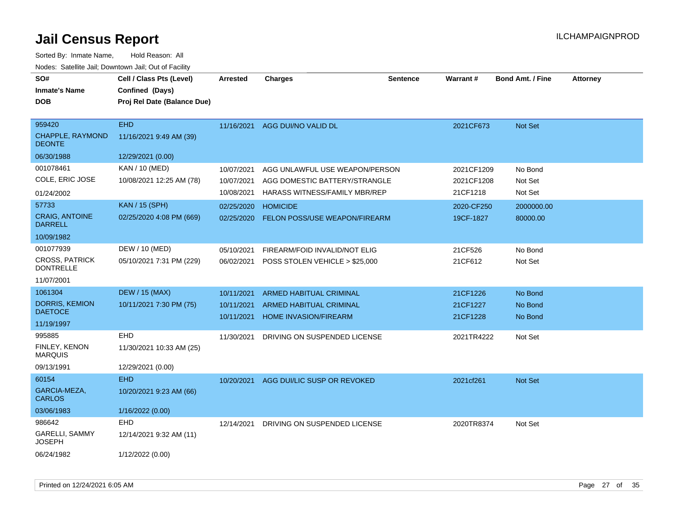| SO#<br><b>Inmate's Name</b><br><b>DOB</b>                            | Cell / Class Pts (Level)<br>Confined (Days)<br>Proj Rel Date (Balance Due) | <b>Arrested</b>                        | <b>Charges</b>                                                                                   | <b>Sentence</b> | Warrant#                             | <b>Bond Amt. / Fine</b>       | <b>Attorney</b> |
|----------------------------------------------------------------------|----------------------------------------------------------------------------|----------------------------------------|--------------------------------------------------------------------------------------------------|-----------------|--------------------------------------|-------------------------------|-----------------|
| 959420<br><b>CHAPPLE, RAYMOND</b><br><b>DEONTE</b>                   | <b>EHD</b><br>11/16/2021 9:49 AM (39)                                      |                                        | 11/16/2021 AGG DUI/NO VALID DL                                                                   |                 | 2021CF673                            | Not Set                       |                 |
| 06/30/1988                                                           | 12/29/2021 (0.00)                                                          |                                        |                                                                                                  |                 |                                      |                               |                 |
| 001078461<br>COLE, ERIC JOSE<br>01/24/2002                           | KAN / 10 (MED)<br>10/08/2021 12:25 AM (78)                                 | 10/07/2021<br>10/07/2021<br>10/08/2021 | AGG UNLAWFUL USE WEAPON/PERSON<br>AGG DOMESTIC BATTERY/STRANGLE<br>HARASS WITNESS/FAMILY MBR/REP |                 | 2021CF1209<br>2021CF1208<br>21CF1218 | No Bond<br>Not Set<br>Not Set |                 |
| 57733<br><b>CRAIG, ANTOINE</b><br><b>DARRELL</b><br>10/09/1982       | <b>KAN / 15 (SPH)</b><br>02/25/2020 4:08 PM (669)                          | 02/25/2020<br>02/25/2020               | <b>HOMICIDE</b><br>FELON POSS/USE WEAPON/FIREARM                                                 |                 | 2020-CF250<br>19CF-1827              | 2000000.00<br>80000.00        |                 |
| 001077939<br><b>CROSS, PATRICK</b><br><b>DONTRELLE</b><br>11/07/2001 | DEW / 10 (MED)<br>05/10/2021 7:31 PM (229)                                 | 05/10/2021<br>06/02/2021               | FIREARM/FOID INVALID/NOT ELIG<br>POSS STOLEN VEHICLE > \$25,000                                  |                 | 21CF526<br>21CF612                   | No Bond<br>Not Set            |                 |
| 1061304<br><b>DORRIS, KEMION</b><br><b>DAETOCE</b><br>11/19/1997     | <b>DEW / 15 (MAX)</b><br>10/11/2021 7:30 PM (75)                           | 10/11/2021<br>10/11/2021<br>10/11/2021 | <b>ARMED HABITUAL CRIMINAL</b><br><b>ARMED HABITUAL CRIMINAL</b><br><b>HOME INVASION/FIREARM</b> |                 | 21CF1226<br>21CF1227<br>21CF1228     | No Bond<br>No Bond<br>No Bond |                 |
| 995885<br>FINLEY, KENON<br><b>MARQUIS</b><br>09/13/1991              | EHD<br>11/30/2021 10:33 AM (25)<br>12/29/2021 (0.00)                       | 11/30/2021                             | DRIVING ON SUSPENDED LICENSE                                                                     |                 | 2021TR4222                           | Not Set                       |                 |
| 60154<br>GARCIA-MEZA,<br><b>CARLOS</b><br>03/06/1983                 | <b>EHD</b><br>10/20/2021 9:23 AM (66)<br>1/16/2022 (0.00)                  | 10/20/2021                             | AGG DUI/LIC SUSP OR REVOKED                                                                      |                 | 2021cf261                            | Not Set                       |                 |
| 986642<br><b>GARELLI, SAMMY</b><br><b>JOSEPH</b><br>06/24/1982       | <b>EHD</b><br>12/14/2021 9:32 AM (11)<br>1/12/2022 (0.00)                  | 12/14/2021                             | DRIVING ON SUSPENDED LICENSE                                                                     |                 | 2020TR8374                           | Not Set                       |                 |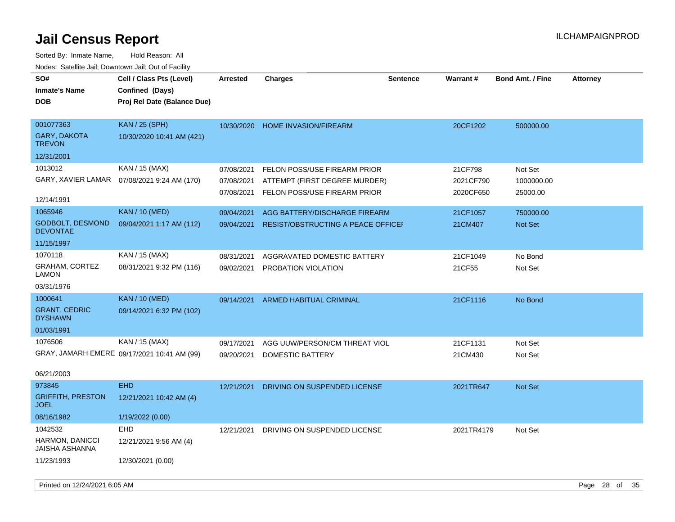| SO#<br><b>Inmate's Name</b>              | Cell / Class Pts (Level)<br>Confined (Days)  | <b>Arrested</b> | <b>Charges</b>                            | <b>Sentence</b> | Warrant#   | <b>Bond Amt. / Fine</b> | <b>Attorney</b> |
|------------------------------------------|----------------------------------------------|-----------------|-------------------------------------------|-----------------|------------|-------------------------|-----------------|
| <b>DOB</b>                               | Proj Rel Date (Balance Due)                  |                 |                                           |                 |            |                         |                 |
|                                          |                                              |                 |                                           |                 |            |                         |                 |
| 001077363                                | <b>KAN / 25 (SPH)</b>                        | 10/30/2020      | HOME INVASION/FIREARM                     |                 | 20CF1202   | 500000.00               |                 |
| <b>GARY, DAKOTA</b><br><b>TREVON</b>     | 10/30/2020 10:41 AM (421)                    |                 |                                           |                 |            |                         |                 |
| 12/31/2001                               |                                              |                 |                                           |                 |            |                         |                 |
| 1013012                                  | KAN / 15 (MAX)                               | 07/08/2021      | FELON POSS/USE FIREARM PRIOR              |                 | 21CF798    | Not Set                 |                 |
|                                          | GARY, XAVIER LAMAR  07/08/2021 9:24 AM (170) | 07/08/2021      | ATTEMPT (FIRST DEGREE MURDER)             |                 | 2021CF790  | 1000000.00              |                 |
|                                          |                                              | 07/08/2021      | FELON POSS/USE FIREARM PRIOR              |                 | 2020CF650  | 25000.00                |                 |
| 12/14/1991                               |                                              |                 |                                           |                 |            |                         |                 |
| 1065946                                  | <b>KAN / 10 (MED)</b>                        | 09/04/2021      | AGG BATTERY/DISCHARGE FIREARM             |                 | 21CF1057   | 750000.00               |                 |
| GODBOLT, DESMOND<br><b>DEVONTAE</b>      | 09/04/2021 1:17 AM (112)                     | 09/04/2021      | <b>RESIST/OBSTRUCTING A PEACE OFFICEF</b> |                 | 21CM407    | Not Set                 |                 |
| 11/15/1997                               |                                              |                 |                                           |                 |            |                         |                 |
| 1070118                                  | KAN / 15 (MAX)                               | 08/31/2021      | AGGRAVATED DOMESTIC BATTERY               |                 | 21CF1049   | No Bond                 |                 |
| GRAHAM, CORTEZ<br><b>LAMON</b>           | 08/31/2021 9:32 PM (116)                     | 09/02/2021      | PROBATION VIOLATION                       |                 | 21CF55     | Not Set                 |                 |
| 03/31/1976                               |                                              |                 |                                           |                 |            |                         |                 |
| 1000641                                  | <b>KAN / 10 (MED)</b>                        | 09/14/2021      | ARMED HABITUAL CRIMINAL                   |                 | 21CF1116   | No Bond                 |                 |
| <b>GRANT, CEDRIC</b><br><b>DYSHAWN</b>   | 09/14/2021 6:32 PM (102)                     |                 |                                           |                 |            |                         |                 |
| 01/03/1991                               |                                              |                 |                                           |                 |            |                         |                 |
| 1076506                                  | KAN / 15 (MAX)                               | 09/17/2021      | AGG UUW/PERSON/CM THREAT VIOL             |                 | 21CF1131   | Not Set                 |                 |
|                                          | GRAY, JAMARH EMERE 09/17/2021 10:41 AM (99)  | 09/20/2021      | DOMESTIC BATTERY                          |                 | 21CM430    | Not Set                 |                 |
| 06/21/2003                               |                                              |                 |                                           |                 |            |                         |                 |
| 973845                                   | <b>EHD</b>                                   | 12/21/2021      | DRIVING ON SUSPENDED LICENSE              |                 | 2021TR647  | <b>Not Set</b>          |                 |
| <b>GRIFFITH, PRESTON</b><br><b>JOEL</b>  | 12/21/2021 10:42 AM (4)                      |                 |                                           |                 |            |                         |                 |
| 08/16/1982                               | 1/19/2022 (0.00)                             |                 |                                           |                 |            |                         |                 |
| 1042532                                  | <b>EHD</b>                                   | 12/21/2021      | DRIVING ON SUSPENDED LICENSE              |                 | 2021TR4179 | Not Set                 |                 |
| HARMON, DANICCI<br><b>JAISHA ASHANNA</b> | 12/21/2021 9:56 AM (4)                       |                 |                                           |                 |            |                         |                 |
| 11/23/1993                               | 12/30/2021 (0.00)                            |                 |                                           |                 |            |                         |                 |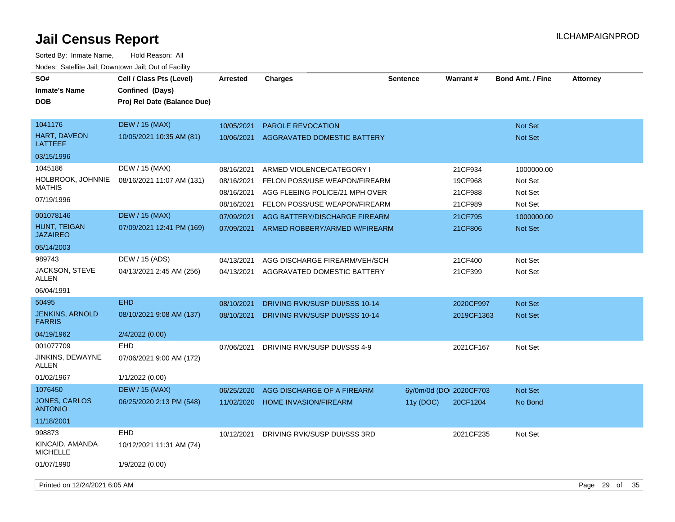| SO#<br><b>Inmate's Name</b><br><b>DOB</b> | Cell / Class Pts (Level)<br>Confined (Days)<br>Proj Rel Date (Balance Due) | <b>Arrested</b>          | <b>Charges</b>                                                  | <b>Sentence</b>         | Warrant#           | <b>Bond Amt. / Fine</b>          | <b>Attorney</b> |      |
|-------------------------------------------|----------------------------------------------------------------------------|--------------------------|-----------------------------------------------------------------|-------------------------|--------------------|----------------------------------|-----------------|------|
| 1041176<br>HART, DAVEON<br><b>LATTEEF</b> | <b>DEW / 15 (MAX)</b><br>10/05/2021 10:35 AM (81)                          | 10/05/2021<br>10/06/2021 | PAROLE REVOCATION<br>AGGRAVATED DOMESTIC BATTERY                |                         |                    | <b>Not Set</b><br><b>Not Set</b> |                 |      |
| 03/15/1996                                |                                                                            |                          |                                                                 |                         |                    |                                  |                 |      |
| 1045186                                   | DEW / 15 (MAX)                                                             | 08/16/2021               | ARMED VIOLENCE/CATEGORY I                                       |                         | 21CF934            | 1000000.00                       |                 |      |
| HOLBROOK, JOHNNIE<br><b>MATHIS</b>        | 08/16/2021 11:07 AM (131)                                                  | 08/16/2021               | FELON POSS/USE WEAPON/FIREARM                                   |                         | 19CF968            | Not Set                          |                 |      |
| 07/19/1996                                |                                                                            | 08/16/2021<br>08/16/2021 | AGG FLEEING POLICE/21 MPH OVER<br>FELON POSS/USE WEAPON/FIREARM |                         | 21CF988<br>21CF989 | Not Set<br>Not Set               |                 |      |
| 001078146                                 | <b>DEW</b> / 15 (MAX)                                                      | 07/09/2021               | AGG BATTERY/DISCHARGE FIREARM                                   |                         | 21CF795            | 1000000.00                       |                 |      |
| HUNT, TEIGAN<br><b>JAZAIREO</b>           | 07/09/2021 12:41 PM (169)                                                  | 07/09/2021               | ARMED ROBBERY/ARMED W/FIREARM                                   |                         | 21CF806            | Not Set                          |                 |      |
| 05/14/2003                                |                                                                            |                          |                                                                 |                         |                    |                                  |                 |      |
| 989743                                    | DEW / 15 (ADS)                                                             | 04/13/2021               | AGG DISCHARGE FIREARM/VEH/SCH                                   |                         | 21CF400            | Not Set                          |                 |      |
| <b>JACKSON, STEVE</b><br>ALLEN            | 04/13/2021 2:45 AM (256)                                                   | 04/13/2021               | AGGRAVATED DOMESTIC BATTERY                                     |                         | 21CF399            | Not Set                          |                 |      |
| 06/04/1991                                |                                                                            |                          |                                                                 |                         |                    |                                  |                 |      |
| 50495                                     | <b>EHD</b>                                                                 | 08/10/2021               | DRIVING RVK/SUSP DUI/SSS 10-14                                  |                         | 2020CF997          | <b>Not Set</b>                   |                 |      |
| <b>JENKINS, ARNOLD</b><br><b>FARRIS</b>   | 08/10/2021 9:08 AM (137)                                                   | 08/10/2021               | DRIVING RVK/SUSP DUI/SSS 10-14                                  |                         | 2019CF1363         | <b>Not Set</b>                   |                 |      |
| 04/19/1962                                | 2/4/2022 (0.00)                                                            |                          |                                                                 |                         |                    |                                  |                 |      |
| 001077709                                 | EHD                                                                        | 07/06/2021               | DRIVING RVK/SUSP DUI/SSS 4-9                                    |                         | 2021CF167          | Not Set                          |                 |      |
| JINKINS, DEWAYNE<br>ALLEN                 | 07/06/2021 9:00 AM (172)                                                   |                          |                                                                 |                         |                    |                                  |                 |      |
| 01/02/1967                                | 1/1/2022(0.00)                                                             |                          |                                                                 |                         |                    |                                  |                 |      |
| 1076450                                   | <b>DEW</b> / 15 (MAX)                                                      | 06/25/2020               | AGG DISCHARGE OF A FIREARM                                      | 6y/0m/0d (DOI 2020CF703 |                    | Not Set                          |                 |      |
| JONES, CARLOS<br><b>ANTONIO</b>           | 06/25/2020 2:13 PM (548)                                                   | 11/02/2020               | <b>HOME INVASION/FIREARM</b>                                    | 11y (DOC)               | 20CF1204           | No Bond                          |                 |      |
| 11/18/2001                                |                                                                            |                          |                                                                 |                         |                    |                                  |                 |      |
| 998873                                    | <b>EHD</b>                                                                 | 10/12/2021               | DRIVING RVK/SUSP DUI/SSS 3RD                                    |                         | 2021CF235          | Not Set                          |                 |      |
| KINCAID, AMANDA<br><b>MICHELLE</b>        | 10/12/2021 11:31 AM (74)                                                   |                          |                                                                 |                         |                    |                                  |                 |      |
| 01/07/1990                                | 1/9/2022 (0.00)                                                            |                          |                                                                 |                         |                    |                                  |                 |      |
| Printed on 12/24/2021 6:05 AM             |                                                                            |                          |                                                                 |                         |                    |                                  | Page 29 of      | - 35 |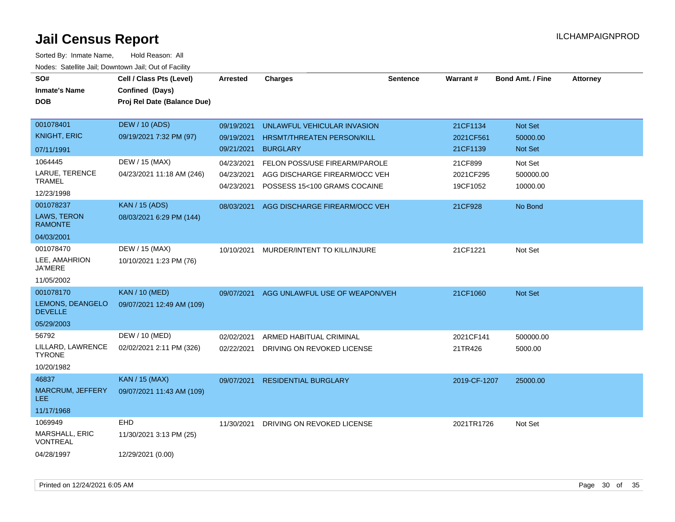| SO#                                      | Cell / Class Pts (Level)    | <b>Arrested</b> | <b>Charges</b>                                                | <b>Sentence</b> | Warrant#     | <b>Bond Amt. / Fine</b> | <b>Attorney</b> |
|------------------------------------------|-----------------------------|-----------------|---------------------------------------------------------------|-----------------|--------------|-------------------------|-----------------|
| <b>Inmate's Name</b>                     | Confined (Days)             |                 |                                                               |                 |              |                         |                 |
| <b>DOB</b>                               | Proj Rel Date (Balance Due) |                 |                                                               |                 |              |                         |                 |
|                                          |                             |                 |                                                               |                 |              |                         |                 |
| 001078401                                | <b>DEW / 10 (ADS)</b>       | 09/19/2021      | UNLAWFUL VEHICULAR INVASION                                   |                 | 21CF1134     | Not Set                 |                 |
| <b>KNIGHT, ERIC</b>                      | 09/19/2021 7:32 PM (97)     | 09/19/2021      | HRSMT/THREATEN PERSON/KILL                                    |                 | 2021CF561    | 50000.00                |                 |
| 07/11/1991                               |                             | 09/21/2021      | <b>BURGLARY</b>                                               |                 | 21CF1139     | Not Set                 |                 |
| 1064445                                  | DEW / 15 (MAX)              | 04/23/2021      | <b>FELON POSS/USE FIREARM/PAROLE</b>                          |                 | 21CF899      | Not Set                 |                 |
| LARUE, TERENCE<br><b>TRAMEL</b>          | 04/23/2021 11:18 AM (246)   | 04/23/2021      | AGG DISCHARGE FIREARM/OCC VEH<br>POSSESS 15<100 GRAMS COCAINE |                 | 2021CF295    | 500000.00               |                 |
| 12/23/1998                               |                             | 04/23/2021      |                                                               |                 | 19CF1052     | 10000.00                |                 |
| 001078237                                | <b>KAN / 15 (ADS)</b>       | 08/03/2021      | AGG DISCHARGE FIREARM/OCC VEH                                 |                 | 21CF928      | No Bond                 |                 |
| <b>LAWS, TERON</b><br><b>RAMONTE</b>     | 08/03/2021 6:29 PM (144)    |                 |                                                               |                 |              |                         |                 |
| 04/03/2001                               |                             |                 |                                                               |                 |              |                         |                 |
| 001078470                                | DEW / 15 (MAX)              | 10/10/2021      | MURDER/INTENT TO KILL/INJURE                                  |                 | 21CF1221     | Not Set                 |                 |
| LEE, AMAHRION<br>JA'MERE                 | 10/10/2021 1:23 PM (76)     |                 |                                                               |                 |              |                         |                 |
| 11/05/2002                               |                             |                 |                                                               |                 |              |                         |                 |
| 001078170                                | <b>KAN / 10 (MED)</b>       | 09/07/2021      | AGG UNLAWFUL USE OF WEAPON/VEH                                |                 | 21CF1060     | <b>Not Set</b>          |                 |
| LEMONS, DEANGELO<br><b>DEVELLE</b>       | 09/07/2021 12:49 AM (109)   |                 |                                                               |                 |              |                         |                 |
| 05/29/2003                               |                             |                 |                                                               |                 |              |                         |                 |
| 56792                                    | DEW / 10 (MED)              | 02/02/2021      | ARMED HABITUAL CRIMINAL                                       |                 | 2021CF141    | 500000.00               |                 |
| LILLARD, LAWRENCE<br><b>TYRONE</b>       | 02/02/2021 2:11 PM (326)    | 02/22/2021      | DRIVING ON REVOKED LICENSE                                    |                 | 21TR426      | 5000.00                 |                 |
| 10/20/1982                               |                             |                 |                                                               |                 |              |                         |                 |
| 46837                                    | <b>KAN / 15 (MAX)</b>       | 09/07/2021      | <b>RESIDENTIAL BURGLARY</b>                                   |                 | 2019-CF-1207 | 25000.00                |                 |
| MARCRUM, JEFFERY<br>LEE.                 | 09/07/2021 11:43 AM (109)   |                 |                                                               |                 |              |                         |                 |
| 11/17/1968                               |                             |                 |                                                               |                 |              |                         |                 |
| 1069949                                  | <b>EHD</b>                  | 11/30/2021      | DRIVING ON REVOKED LICENSE                                    |                 | 2021TR1726   | Not Set                 |                 |
| <b>MARSHALL, ERIC</b><br><b>VONTREAL</b> | 11/30/2021 3:13 PM (25)     |                 |                                                               |                 |              |                         |                 |
| 04/28/1997                               | 12/29/2021 (0.00)           |                 |                                                               |                 |              |                         |                 |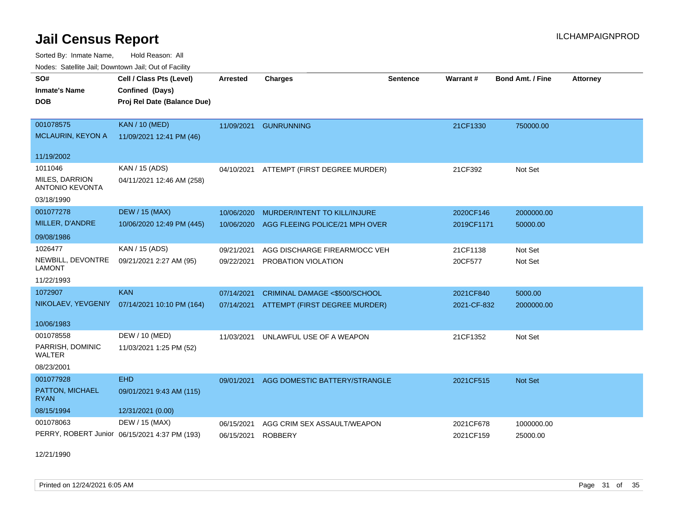Sorted By: Inmate Name, Hold Reason: All Nodes: Satellite Jail; Downtown Jail; Out of Facility

| Nodes. Satellite Jali, Downtown Jali, Out of Facility |                                               |                 |                                |                 |             |                         |                 |
|-------------------------------------------------------|-----------------------------------------------|-----------------|--------------------------------|-----------------|-------------|-------------------------|-----------------|
| SO#                                                   | Cell / Class Pts (Level)                      | <b>Arrested</b> | <b>Charges</b>                 | <b>Sentence</b> | Warrant#    | <b>Bond Amt. / Fine</b> | <b>Attorney</b> |
| <b>Inmate's Name</b>                                  | Confined (Days)                               |                 |                                |                 |             |                         |                 |
| DOB                                                   | Proj Rel Date (Balance Due)                   |                 |                                |                 |             |                         |                 |
|                                                       |                                               |                 |                                |                 |             |                         |                 |
| 001078575                                             | <b>KAN / 10 (MED)</b>                         | 11/09/2021      | <b>GUNRUNNING</b>              |                 | 21CF1330    | 750000.00               |                 |
| <b>MCLAURIN, KEYON A</b>                              | 11/09/2021 12:41 PM (46)                      |                 |                                |                 |             |                         |                 |
|                                                       |                                               |                 |                                |                 |             |                         |                 |
| 11/19/2002                                            |                                               |                 |                                |                 |             |                         |                 |
| 1011046                                               | KAN / 15 (ADS)                                | 04/10/2021      | ATTEMPT (FIRST DEGREE MURDER)  |                 | 21CF392     | Not Set                 |                 |
| <b>MILES, DARRION</b><br><b>ANTONIO KEVONTA</b>       | 04/11/2021 12:46 AM (258)                     |                 |                                |                 |             |                         |                 |
| 03/18/1990                                            |                                               |                 |                                |                 |             |                         |                 |
|                                                       |                                               |                 |                                |                 |             |                         |                 |
| 001077278                                             | <b>DEW / 15 (MAX)</b>                         | 10/06/2020      | MURDER/INTENT TO KILL/INJURE   |                 | 2020CF146   | 2000000.00              |                 |
| MILLER, D'ANDRE                                       | 10/06/2020 12:49 PM (445)                     | 10/06/2020      | AGG FLEEING POLICE/21 MPH OVER |                 | 2019CF1171  | 50000.00                |                 |
| 09/08/1986                                            |                                               |                 |                                |                 |             |                         |                 |
| 1026477                                               | KAN / 15 (ADS)                                | 09/21/2021      | AGG DISCHARGE FIREARM/OCC VEH  |                 | 21CF1138    | Not Set                 |                 |
| NEWBILL, DEVONTRE<br><b>LAMONT</b>                    | 09/21/2021 2:27 AM (95)                       | 09/22/2021      | PROBATION VIOLATION            |                 | 20CF577     | Not Set                 |                 |
|                                                       |                                               |                 |                                |                 |             |                         |                 |
| 11/22/1993                                            |                                               |                 |                                |                 |             |                         |                 |
| 1072907                                               | <b>KAN</b>                                    | 07/14/2021      | CRIMINAL DAMAGE <\$500/SCHOOL  |                 | 2021CF840   | 5000.00                 |                 |
| NIKOLAEV, YEVGENIY                                    | 07/14/2021 10:10 PM (164)                     | 07/14/2021      | ATTEMPT (FIRST DEGREE MURDER)  |                 | 2021-CF-832 | 2000000.00              |                 |
| 10/06/1983                                            |                                               |                 |                                |                 |             |                         |                 |
| 001078558                                             | DEW / 10 (MED)                                | 11/03/2021      | UNLAWFUL USE OF A WEAPON       |                 | 21CF1352    | Not Set                 |                 |
| PARRISH, DOMINIC<br>WALTER                            | 11/03/2021 1:25 PM (52)                       |                 |                                |                 |             |                         |                 |
| 08/23/2001                                            |                                               |                 |                                |                 |             |                         |                 |
| 001077928                                             | <b>EHD</b>                                    | 09/01/2021      | AGG DOMESTIC BATTERY/STRANGLE  |                 | 2021CF515   | Not Set                 |                 |
| PATTON, MICHAEL<br><b>RYAN</b>                        | 09/01/2021 9:43 AM (115)                      |                 |                                |                 |             |                         |                 |
| 08/15/1994                                            | 12/31/2021 (0.00)                             |                 |                                |                 |             |                         |                 |
| 001078063                                             | DEW / 15 (MAX)                                | 06/15/2021      | AGG CRIM SEX ASSAULT/WEAPON    |                 | 2021CF678   | 1000000.00              |                 |
|                                                       | PERRY, ROBERT Junior 06/15/2021 4:37 PM (193) | 06/15/2021      | <b>ROBBERY</b>                 |                 | 2021CF159   | 25000.00                |                 |
|                                                       |                                               |                 |                                |                 |             |                         |                 |

12/21/1990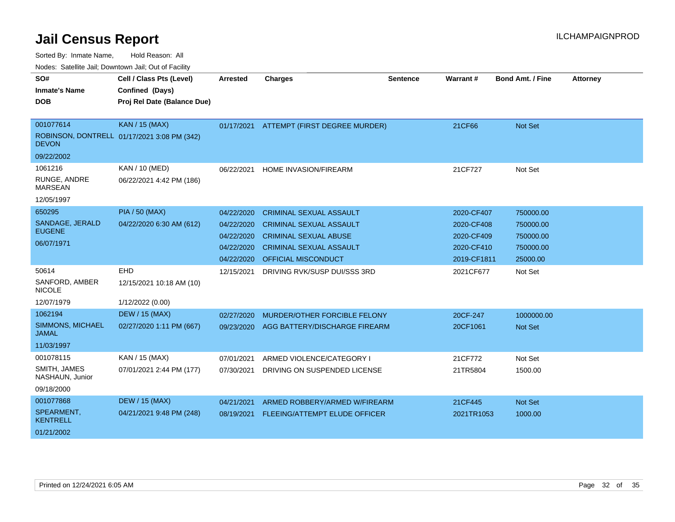Sorted By: Inmate Name, Hold Reason: All

| Nodes: Satellite Jail; Downtown Jail; Out of Facility |  |
|-------------------------------------------------------|--|
|                                                       |  |

| SO#                                     | Cell / Class Pts (Level)                    | <b>Arrested</b> | <b>Charges</b>                           | <b>Sentence</b> | Warrant#    | <b>Bond Amt. / Fine</b> | <b>Attorney</b> |
|-----------------------------------------|---------------------------------------------|-----------------|------------------------------------------|-----------------|-------------|-------------------------|-----------------|
| <b>Inmate's Name</b>                    | Confined (Days)                             |                 |                                          |                 |             |                         |                 |
| <b>DOB</b>                              | Proj Rel Date (Balance Due)                 |                 |                                          |                 |             |                         |                 |
|                                         |                                             |                 |                                          |                 |             |                         |                 |
| 001077614                               | <b>KAN / 15 (MAX)</b>                       |                 | 01/17/2021 ATTEMPT (FIRST DEGREE MURDER) |                 | 21CF66      | Not Set                 |                 |
| <b>DEVON</b>                            | ROBINSON, DONTRELL 01/17/2021 3:08 PM (342) |                 |                                          |                 |             |                         |                 |
| 09/22/2002                              |                                             |                 |                                          |                 |             |                         |                 |
| 1061216                                 | KAN / 10 (MED)                              | 06/22/2021      | HOME INVASION/FIREARM                    |                 | 21CF727     | Not Set                 |                 |
| RUNGE, ANDRE<br><b>MARSEAN</b>          | 06/22/2021 4:42 PM (186)                    |                 |                                          |                 |             |                         |                 |
| 12/05/1997                              |                                             |                 |                                          |                 |             |                         |                 |
| 650295                                  | <b>PIA / 50 (MAX)</b>                       | 04/22/2020      | <b>CRIMINAL SEXUAL ASSAULT</b>           |                 | 2020-CF407  | 750000.00               |                 |
| SANDAGE, JERALD                         | 04/22/2020 6:30 AM (612)                    | 04/22/2020      | <b>CRIMINAL SEXUAL ASSAULT</b>           |                 | 2020-CF408  | 750000.00               |                 |
| <b>EUGENE</b>                           |                                             | 04/22/2020      | <b>CRIMINAL SEXUAL ABUSE</b>             |                 | 2020-CF409  | 750000.00               |                 |
| 06/07/1971                              |                                             | 04/22/2020      | <b>CRIMINAL SEXUAL ASSAULT</b>           |                 | 2020-CF410  | 750000.00               |                 |
|                                         |                                             | 04/22/2020      | OFFICIAL MISCONDUCT                      |                 | 2019-CF1811 | 25000.00                |                 |
| 50614                                   | EHD                                         | 12/15/2021      | DRIVING RVK/SUSP DUI/SSS 3RD             |                 | 2021CF677   | Not Set                 |                 |
| SANFORD, AMBER<br><b>NICOLE</b>         | 12/15/2021 10:18 AM (10)                    |                 |                                          |                 |             |                         |                 |
| 12/07/1979                              | 1/12/2022 (0.00)                            |                 |                                          |                 |             |                         |                 |
| 1062194                                 | <b>DEW / 15 (MAX)</b>                       | 02/27/2020      | MURDER/OTHER FORCIBLE FELONY             |                 | 20CF-247    | 1000000.00              |                 |
| <b>SIMMONS, MICHAEL</b><br><b>JAMAL</b> | 02/27/2020 1:11 PM (667)                    | 09/23/2020      | AGG BATTERY/DISCHARGE FIREARM            |                 | 20CF1061    | Not Set                 |                 |
| 11/03/1997                              |                                             |                 |                                          |                 |             |                         |                 |
| 001078115                               | KAN / 15 (MAX)                              | 07/01/2021      | ARMED VIOLENCE/CATEGORY I                |                 | 21CF772     | Not Set                 |                 |
| SMITH, JAMES<br>NASHAUN, Junior         | 07/01/2021 2:44 PM (177)                    | 07/30/2021      | DRIVING ON SUSPENDED LICENSE             |                 | 21TR5804    | 1500.00                 |                 |
| 09/18/2000                              |                                             |                 |                                          |                 |             |                         |                 |
| 001077868                               | <b>DEW / 15 (MAX)</b>                       | 04/21/2021      | ARMED ROBBERY/ARMED W/FIREARM            |                 | 21CF445     | Not Set                 |                 |
| SPEARMENT,<br><b>KENTRELL</b>           | 04/21/2021 9:48 PM (248)                    | 08/19/2021      | FLEEING/ATTEMPT ELUDE OFFICER            |                 | 2021TR1053  | 1000.00                 |                 |
| 01/21/2002                              |                                             |                 |                                          |                 |             |                         |                 |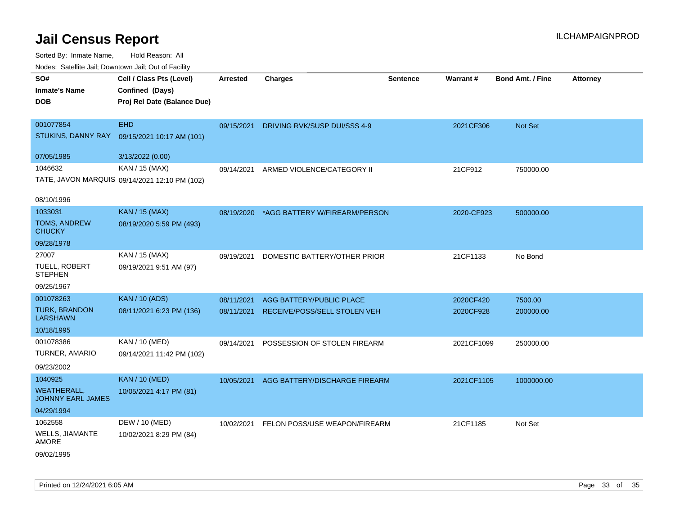| rouce. Calcinic Jan, Downtown Jan, Out or Facility |                                                                            |            |                                          |                 |                 |                         |                 |
|----------------------------------------------------|----------------------------------------------------------------------------|------------|------------------------------------------|-----------------|-----------------|-------------------------|-----------------|
| SO#<br><b>Inmate's Name</b><br><b>DOB</b>          | Cell / Class Pts (Level)<br>Confined (Days)<br>Proj Rel Date (Balance Due) | Arrested   | <b>Charges</b>                           | <b>Sentence</b> | <b>Warrant#</b> | <b>Bond Amt. / Fine</b> | <b>Attorney</b> |
|                                                    |                                                                            |            |                                          |                 |                 |                         |                 |
| 001077854                                          | <b>EHD</b>                                                                 | 09/15/2021 | DRIVING RVK/SUSP DUI/SSS 4-9             |                 | 2021CF306       | Not Set                 |                 |
| STUKINS, DANNY RAY                                 | 09/15/2021 10:17 AM (101)                                                  |            |                                          |                 |                 |                         |                 |
| 07/05/1985                                         | 3/13/2022 (0.00)                                                           |            |                                          |                 |                 |                         |                 |
| 1046632                                            | KAN / 15 (MAX)                                                             | 09/14/2021 | ARMED VIOLENCE/CATEGORY II               |                 | 21CF912         | 750000.00               |                 |
|                                                    | TATE, JAVON MARQUIS 09/14/2021 12:10 PM (102)                              |            |                                          |                 |                 |                         |                 |
| 08/10/1996                                         |                                                                            |            |                                          |                 |                 |                         |                 |
| 1033031                                            | <b>KAN / 15 (MAX)</b>                                                      |            | 08/19/2020 *AGG BATTERY W/FIREARM/PERSON |                 | 2020-CF923      | 500000.00               |                 |
| <b>TOMS, ANDREW</b><br><b>CHUCKY</b>               | 08/19/2020 5:59 PM (493)                                                   |            |                                          |                 |                 |                         |                 |
| 09/28/1978                                         |                                                                            |            |                                          |                 |                 |                         |                 |
| 27007                                              | KAN / 15 (MAX)                                                             | 09/19/2021 | DOMESTIC BATTERY/OTHER PRIOR             |                 | 21CF1133        | No Bond                 |                 |
| TUELL, ROBERT<br><b>STEPHEN</b>                    | 09/19/2021 9:51 AM (97)                                                    |            |                                          |                 |                 |                         |                 |
| 09/25/1967                                         |                                                                            |            |                                          |                 |                 |                         |                 |
| 001078263                                          | <b>KAN / 10 (ADS)</b>                                                      | 08/11/2021 | AGG BATTERY/PUBLIC PLACE                 |                 | 2020CF420       | 7500.00                 |                 |
| TURK, BRANDON<br><b>LARSHAWN</b>                   | 08/11/2021 6:23 PM (136)                                                   | 08/11/2021 | RECEIVE/POSS/SELL STOLEN VEH             |                 | 2020CF928       | 200000.00               |                 |
| 10/18/1995                                         |                                                                            |            |                                          |                 |                 |                         |                 |
| 001078386                                          | KAN / 10 (MED)                                                             | 09/14/2021 | POSSESSION OF STOLEN FIREARM             |                 | 2021CF1099      | 250000.00               |                 |
| <b>TURNER, AMARIO</b>                              | 09/14/2021 11:42 PM (102)                                                  |            |                                          |                 |                 |                         |                 |
| 09/23/2002                                         |                                                                            |            |                                          |                 |                 |                         |                 |
| 1040925                                            | <b>KAN / 10 (MED)</b>                                                      | 10/05/2021 | AGG BATTERY/DISCHARGE FIREARM            |                 | 2021CF1105      | 1000000.00              |                 |
| <b>WEATHERALL,</b><br><b>JOHNNY EARL JAMES</b>     | 10/05/2021 4:17 PM (81)                                                    |            |                                          |                 |                 |                         |                 |
| 04/29/1994                                         |                                                                            |            |                                          |                 |                 |                         |                 |
| 1062558                                            | DEW / 10 (MED)                                                             |            | 10/02/2021 FELON POSS/USE WEAPON/FIREARM |                 | 21CF1185        | Not Set                 |                 |
| <b>WELLS, JIAMANTE</b><br>AMORE                    | 10/02/2021 8:29 PM (84)                                                    |            |                                          |                 |                 |                         |                 |
| 09/02/1995                                         |                                                                            |            |                                          |                 |                 |                         |                 |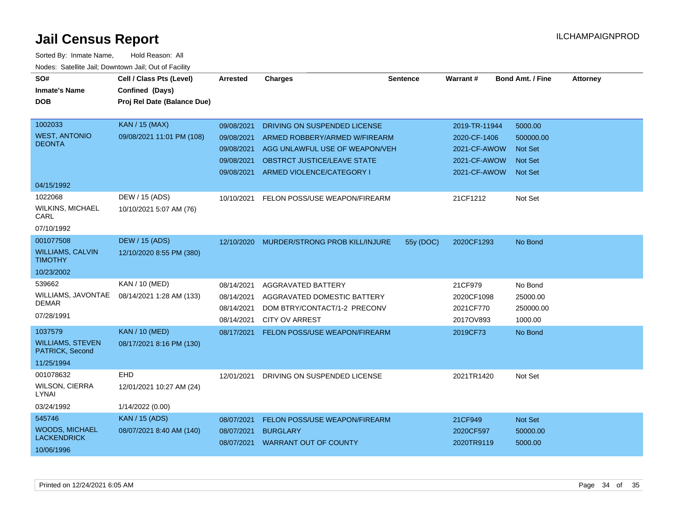| SO#                                        | Cell / Class Pts (Level)    | <b>Arrested</b> | <b>Charges</b>                     | <b>Sentence</b> | Warrant#      | <b>Bond Amt. / Fine</b> | <b>Attorney</b> |
|--------------------------------------------|-----------------------------|-----------------|------------------------------------|-----------------|---------------|-------------------------|-----------------|
| <b>Inmate's Name</b>                       | Confined (Days)             |                 |                                    |                 |               |                         |                 |
| <b>DOB</b>                                 | Proj Rel Date (Balance Due) |                 |                                    |                 |               |                         |                 |
|                                            |                             |                 |                                    |                 |               |                         |                 |
| 1002033                                    | <b>KAN / 15 (MAX)</b>       | 09/08/2021      | DRIVING ON SUSPENDED LICENSE       |                 | 2019-TR-11944 | 5000.00                 |                 |
| <b>WEST, ANTONIO</b><br><b>DEONTA</b>      | 09/08/2021 11:01 PM (108)   | 09/08/2021      | ARMED ROBBERY/ARMED W/FIREARM      |                 | 2020-CF-1406  | 500000.00               |                 |
|                                            |                             | 09/08/2021      | AGG UNLAWFUL USE OF WEAPON/VEH     |                 | 2021-CF-AWOW  | <b>Not Set</b>          |                 |
|                                            |                             | 09/08/2021      | <b>OBSTRCT JUSTICE/LEAVE STATE</b> |                 | 2021-CF-AWOW  | <b>Not Set</b>          |                 |
|                                            |                             | 09/08/2021      | ARMED VIOLENCE/CATEGORY I          |                 | 2021-CF-AWOW  | <b>Not Set</b>          |                 |
| 04/15/1992                                 |                             |                 |                                    |                 |               |                         |                 |
| 1022068                                    | DEW / 15 (ADS)              | 10/10/2021      | FELON POSS/USE WEAPON/FIREARM      |                 | 21CF1212      | Not Set                 |                 |
| <b>WILKINS, MICHAEL</b><br>CARL            | 10/10/2021 5:07 AM (76)     |                 |                                    |                 |               |                         |                 |
| 07/10/1992                                 |                             |                 |                                    |                 |               |                         |                 |
| 001077508                                  | <b>DEW / 15 (ADS)</b>       | 12/10/2020      | MURDER/STRONG PROB KILL/INJURE     | 55y (DOC)       | 2020CF1293    | No Bond                 |                 |
| <b>WILLIAMS, CALVIN</b><br><b>TIMOTHY</b>  | 12/10/2020 8:55 PM (380)    |                 |                                    |                 |               |                         |                 |
| 10/23/2002                                 |                             |                 |                                    |                 |               |                         |                 |
| 539662                                     | KAN / 10 (MED)              | 08/14/2021      | AGGRAVATED BATTERY                 |                 | 21CF979       | No Bond                 |                 |
| WILLIAMS, JAVONTAE                         | 08/14/2021 1:28 AM (133)    | 08/14/2021      | AGGRAVATED DOMESTIC BATTERY        |                 | 2020CF1098    | 25000.00                |                 |
| <b>DEMAR</b>                               |                             | 08/14/2021      | DOM BTRY/CONTACT/1-2 PRECONV       |                 | 2021CF770     | 250000.00               |                 |
| 07/28/1991                                 |                             | 08/14/2021      | <b>CITY OV ARREST</b>              |                 | 2017OV893     | 1000.00                 |                 |
| 1037579                                    | <b>KAN / 10 (MED)</b>       | 08/17/2021      | FELON POSS/USE WEAPON/FIREARM      |                 | 2019CF73      | No Bond                 |                 |
| <b>WILLIAMS, STEVEN</b><br>PATRICK, Second | 08/17/2021 8:16 PM (130)    |                 |                                    |                 |               |                         |                 |
| 11/25/1994                                 |                             |                 |                                    |                 |               |                         |                 |
| 001078632                                  | <b>EHD</b>                  | 12/01/2021      | DRIVING ON SUSPENDED LICENSE       |                 | 2021TR1420    | Not Set                 |                 |
| <b>WILSON, CIERRA</b><br>LYNAI             | 12/01/2021 10:27 AM (24)    |                 |                                    |                 |               |                         |                 |
| 03/24/1992                                 | 1/14/2022 (0.00)            |                 |                                    |                 |               |                         |                 |
| 545746                                     | <b>KAN</b> / 15 (ADS)       | 08/07/2021      | FELON POSS/USE WEAPON/FIREARM      |                 | 21CF949       | Not Set                 |                 |
| <b>WOODS, MICHAEL</b>                      | 08/07/2021 8:40 AM (140)    | 08/07/2021      | <b>BURGLARY</b>                    |                 | 2020CF597     | 50000.00                |                 |
| <b>LACKENDRICK</b>                         |                             |                 | 08/07/2021 WARRANT OUT OF COUNTY   |                 | 2020TR9119    | 5000.00                 |                 |
| 10/06/1996                                 |                             |                 |                                    |                 |               |                         |                 |